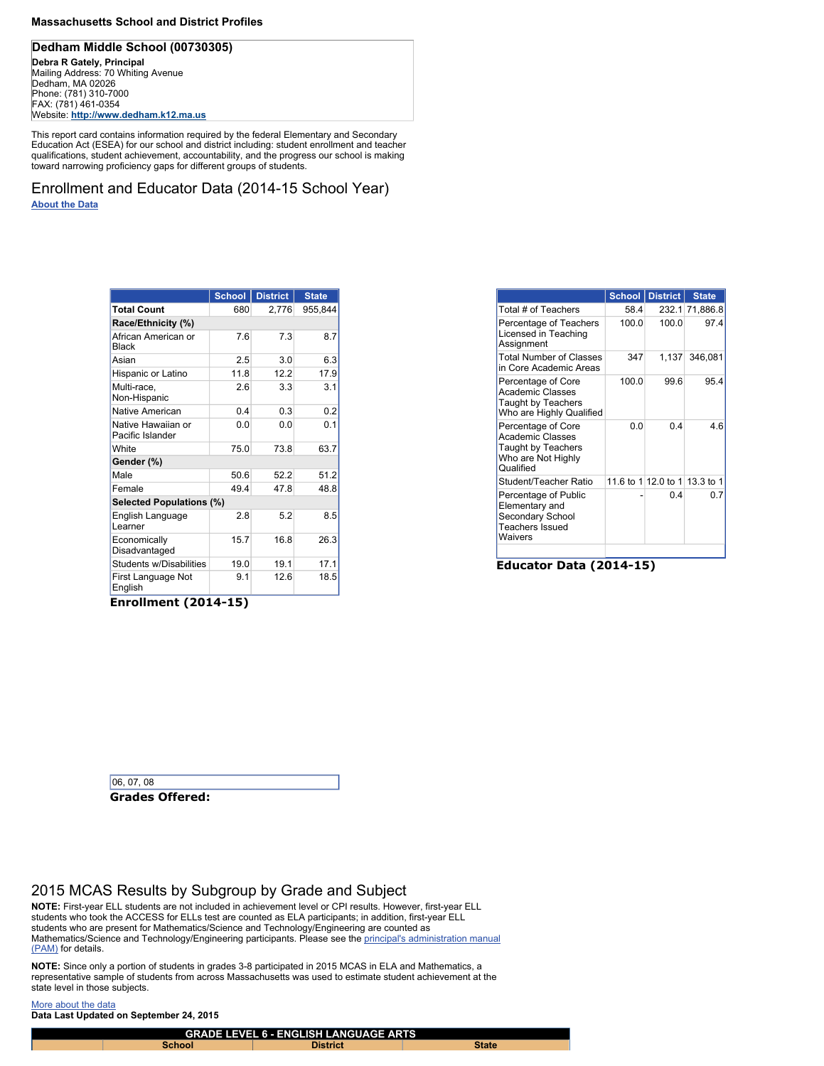### **Massachusetts School and District Profiles**

## **Dedham Middle School (00730305)**

**Debra R Gately, Principal Mailing Address: 70 Whiting Avenue Dedham, MA 02026 Phone: (781) 310-7000 FAX: (781) 461-0354 Website: http://www.dedham.k12.ma.us**

**This report card contains information required by the federal Elementary and Secondary Education Act (ESEA) for our school and district including: student enrollment and teacher qualifications, student achievement, accountability, and the progress our school is making toward narrowing proficiency gaps for different groups of students.**

**Enrollment and Educator Data (2014-15 School Year) About the Data**

**Enrollment (2014-15)**

|                                        | <b>School</b> | <b>District</b> | <b>State</b> |
|----------------------------------------|---------------|-----------------|--------------|
| <b>Total Count</b>                     | 680           | 2,776           | 955,844      |
| Race/Ethnicity (%)                     |               |                 |              |
| African American or<br><b>Black</b>    | 7.6           | 7.3             | 8.7          |
| Asian                                  | 2.5           | 3.0             | 6.3          |
| Hispanic or Latino                     | 11.8          | 12.2            | 17.9         |
| Multi-race,<br>Non-Hispanic            | 2.6           | 3.3             | 3.1          |
| <b>Native American</b>                 | 0.4           | 0.3             | 0.2          |
| Native Hawaiian or<br>Pacific Islander | 0.0           | 0.0             | 0.1          |
| White                                  | 75.0          | 73.8            | 63.7         |
| Gender (%)                             |               |                 |              |
| Male                                   | 50.6          | 52.2            | 51.2         |
| Female                                 | 49.4          | 47.8            | 48.8         |
| <b>Selected Populations (%)</b>        |               |                 |              |
| English Language<br>Learner            | 2.8           | 5.2             | 8.5          |
| Economically<br>Disadvantaged          | 15.7          | 16.8            | 26.3         |
| <b>Students w/Disabilities</b>         | 19.0          | 19.1            | 17.1         |
| First Language Not<br>English          | 9.1           | 12.6            | 18.5         |

**Grades Offered:**

**06, 07, 08**

**Educator Data (2014-15)**

NOTE: Since only a portion of students in grades 3-8 participated in 2015 MCAS in ELA and Mathematics, a **representative sample of students from across Massachusetts was used to estimate student achievement at the state level in those subjects.**

|                                                                                                               |       | <b>School District</b>        | <b>State</b>   |
|---------------------------------------------------------------------------------------------------------------|-------|-------------------------------|----------------|
| Total # of Teachers                                                                                           | 58.4  |                               | 232.1 71,886.8 |
| Percentage of Teachers<br>Licensed in Teaching<br>Assignment                                                  | 100.0 | 100.0                         | 97.4           |
| <b>Total Number of Classes</b><br>in Core Academic Areas                                                      | 347   |                               | 1,137 346,081  |
| Percentage of Core<br><b>Academic Classes</b><br><b>Taught by Teachers</b><br>Who are Highly Qualified        | 100.0 | 99.6                          | 95.4           |
| Percentage of Core<br><b>Academic Classes</b><br><b>Taught by Teachers</b><br>Who are Not Highly<br>Qualified | 0.0   | 0 4                           | 4.6            |
| Student/Teacher Ratio                                                                                         |       | 11.6 to 1 12.0 to 1 13.3 to 1 |                |
| Percentage of Public<br>Elementary and<br><b>Secondary School</b><br><b>Teachers Issued</b><br>Waivers        |       | 0.4                           | ი ⁊            |
|                                                                                                               |       |                               |                |

# **2015 MCAS Results by Subgroup by Grade and Subject**

**NOTE: First-year ELL students are not included in achievement level or CPI results. However, first-year ELL students who took the ACCESS for ELLs test are counted as ELA participants; in addition, first-year ELL students who are present for Mathematics/Science and Technology/Engineering are counted as Mathematics/Science and Technology/Engineering participants. Please see the principal's administration manual (PAM) for details.**

**More about the data**

**Data Last Updated on September 24, 2015**

|               | <b>GRADE LEVEL 6 - ENGLISH LANGUAGE ARTS</b> |              |
|---------------|----------------------------------------------|--------------|
| <b>School</b> | <b>District</b>                              | <b>State</b> |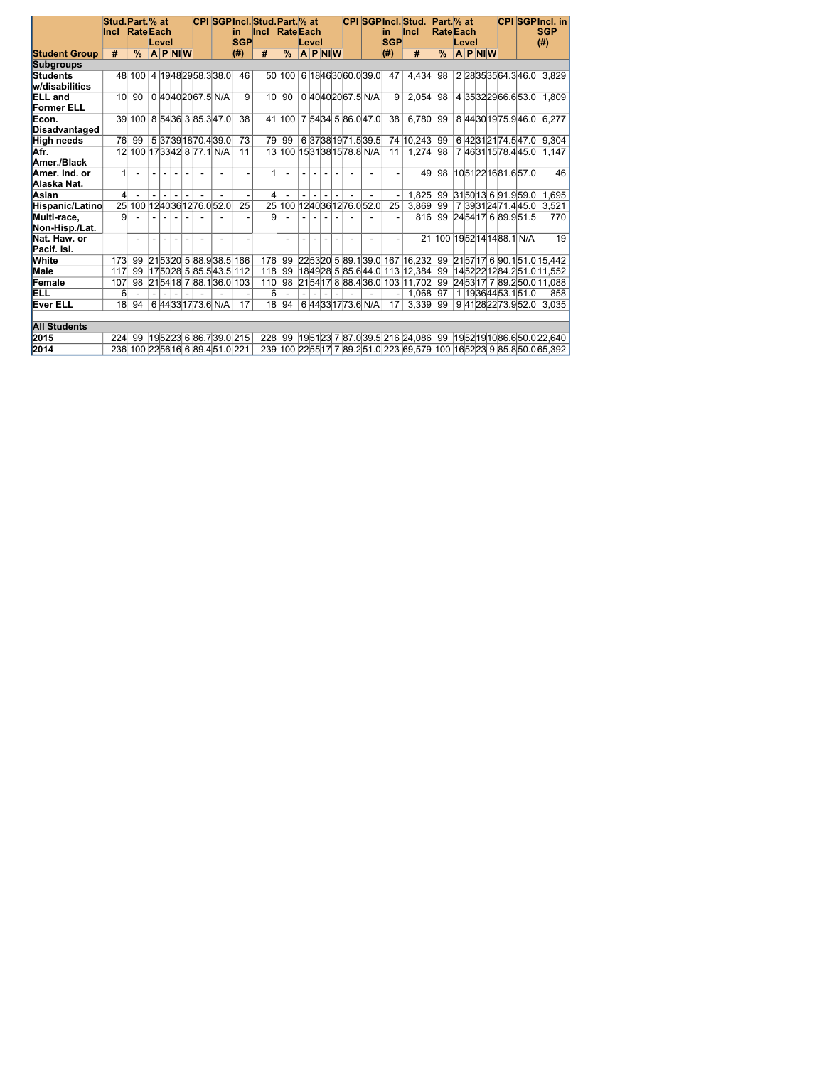|                                     | Stud. Part. % at<br><b>Incl</b> | <b>Rate</b> Each             |                |       |           |  |                       | lin.                         | <b>CPI SGPIncl. Stud. Part.</b> % at<br><b>Incl</b> | <b>Rate</b> Each |       |           |  |                          | lin        | <b>CPI SGPIncl. Stud.</b><br><b>Incl</b>    | Part. % at<br><b>Rate</b> Each |       |           |                       | <b>CPI SGPIncl. in</b><br><b>SGP</b>                                    |
|-------------------------------------|---------------------------------|------------------------------|----------------|-------|-----------|--|-----------------------|------------------------------|-----------------------------------------------------|------------------|-------|-----------|--|--------------------------|------------|---------------------------------------------|--------------------------------|-------|-----------|-----------------------|-------------------------------------------------------------------------|
|                                     |                                 |                              |                | Level |           |  |                       | <b>SGP</b>                   |                                                     |                  | Level |           |  |                          | <b>SGP</b> |                                             |                                | Level |           |                       | $(\#)$                                                                  |
| <b>Student Group</b>                | #                               | $\frac{0}{0}$                |                |       | $A$ P NIW |  |                       | (H)                          | #                                                   | $\frac{9}{6}$    |       | $A$ P NIW |  |                          | (H)        | #                                           | $\frac{9}{6}$                  |       | $A$ P NIW |                       |                                                                         |
| <b>Subgroups</b>                    |                                 |                              |                |       |           |  |                       |                              |                                                     |                  |       |           |  |                          |            |                                             |                                |       |           |                       |                                                                         |
| <b>Students</b><br>w/disabilities   |                                 | 48 100 4 19 48 29 58 3 38 0  |                |       |           |  |                       | 46                           |                                                     | 50 100           |       |           |  | 6  18 46 30 60.0 39.0    | 47         | 4,434                                       | 98                             |       |           | 2 28 35 35 64.3 46.0  | 3,829                                                                   |
| <b>ELL</b> and<br><b>Former ELL</b> | 10 <sup>l</sup>                 | 90                           |                |       |           |  | 0 40 40 20 67.5 N/A   | 9                            | 10 <sup>1</sup>                                     | 90               |       |           |  | 0 40 40 20 67.5 N/A      | 9          | 2,054                                       | 98                             |       |           | 4 35 32 29 66 6 53 0  | 1,809                                                                   |
| Econ.<br>Disadvantaged              |                                 | 39 100                       |                |       |           |  | 8 54 36 3 85.3 47.0   | 38                           | 41                                                  | 100              |       |           |  | 7 54 34 5 86 0 47 0      | 38         | 6,780                                       | 99                             |       |           | 8 44 30 19 75 9 46 0  | 6,277                                                                   |
| <b>High needs</b>                   | 76                              | 99                           |                |       |           |  | 5 37 39 18 70 4 39 0  | 73                           | 79                                                  | 99               |       |           |  | 6 37 38 19 71 5 39 5     |            | 74 10,243                                   | 99                             |       |           | 6 42 31 21 74.5 47.0  | 9,304                                                                   |
| Afr.<br>Amer./Black                 | 12 <sup>1</sup>                 |                              |                |       |           |  | 100 173342 8 77.1 N/A | 11                           | 13                                                  |                  |       |           |  | 100 1531381578.8 N/A     | 11         | 1,274                                       | 98                             |       |           | 7 46 31 15 78 4 45 0  | 1,147                                                                   |
| Amer. Ind. or<br>Alaska Nat.        | $\mathbf{1}$                    | $\blacksquare$               |                |       |           |  |                       |                              |                                                     |                  |       |           |  |                          |            | 49                                          | 98                             |       |           | 10 51 22 16 81.6 57.0 | 46                                                                      |
| Asian                               | 4                               |                              |                |       |           |  |                       |                              | Δ                                                   |                  |       |           |  |                          |            | 1,825                                       | 99                             |       |           | 3150 13 6 91.9 59.0   | 1,695                                                                   |
| Hispanic/Latino                     |                                 | 25 100 12 40 36 12 76 0 52 0 |                |       |           |  |                       | 25                           | 25                                                  |                  |       |           |  | 100 1240 36 12 76.0 52.0 | 25         | 3,869                                       | 99                             |       |           | 7 39 31 24 71 4 45 0  | 3,521                                                                   |
| Multi-race.<br>Non-Hisp./Lat.       | 9                               |                              | $\blacksquare$ |       |           |  |                       |                              | 9                                                   |                  |       |           |  |                          |            | 816                                         | 99                             |       |           | 245417 6 89.951.5     | 770                                                                     |
| Nat. Haw. or<br>Pacif. Isl.         |                                 |                              |                |       |           |  |                       |                              |                                                     |                  |       |           |  |                          |            |                                             | 21 100 1952 14 14 88.1 N/A     |       |           |                       | 19                                                                      |
| <b>White</b>                        | 173                             | 99                           |                |       |           |  |                       | $215320$ 5 88.938.5 166      | 176                                                 | 99               |       |           |  |                          |            | $ 22 53 20 $ 5 $ 89.1 39.0 $ 167 $ 16,232 $ | 99                             |       |           |                       | 215717 6 90.1 51.0 15,442                                               |
| <b>Male</b>                         | 117                             | 99                           |                |       |           |  | 17 50 28 5 85.5 43.5  | 112                          | 118                                                 | 99               |       |           |  |                          |            | 184928 5 85.6 44.0 113 12,384               | 99                             |       |           |                       | 1452221284.251.011,552                                                  |
| Female                              | 107                             | 98                           |                |       |           |  | $215418$ 7 88.136.0   | 103                          | 110                                                 | 98               |       |           |  |                          |            | 21 54 17 8 88.4 36.0 103 11,702             | 99                             |       |           |                       | 245317 7 89.250.0 11,088                                                |
| ELL                                 | 6                               |                              |                |       |           |  |                       |                              | 6 <sup>1</sup>                                      |                  |       |           |  |                          |            | 1,068                                       | 97                             |       |           | 1 1936 44 53 1 51 0   | 858                                                                     |
| <b>Ever ELL</b>                     | 18                              | 94                           |                |       |           |  | 6 44 33 17 73.6 N/A   | 17                           | 18                                                  | 94               |       |           |  | 6 44 33 17 73.6 N/A      | 17         | 3,339                                       | 99                             |       |           | 9 41 28 22 73.9 52.0  | 3,035                                                                   |
| <b>All Students</b>                 |                                 |                              |                |       |           |  |                       |                              |                                                     |                  |       |           |  |                          |            |                                             |                                |       |           |                       |                                                                         |
| 2015                                | 224                             | 99                           |                |       |           |  |                       | 19 52 23 6 86.7 39.0 215     | 228                                                 |                  |       |           |  |                          |            |                                             |                                |       |           |                       | 99 1951 23 7 87.0 39.5 216 24,086 99 1952 1910 86.6 50.0 22,640         |
| 2014                                | 236                             |                              |                |       |           |  |                       | 100 22 56 16 6 89.4 51.0 221 |                                                     |                  |       |           |  |                          |            |                                             |                                |       |           |                       | 239 100 22 55 17 7 89.2 51.0 223 69,579 100 16 52 23 9 85.8 50.0 65,392 |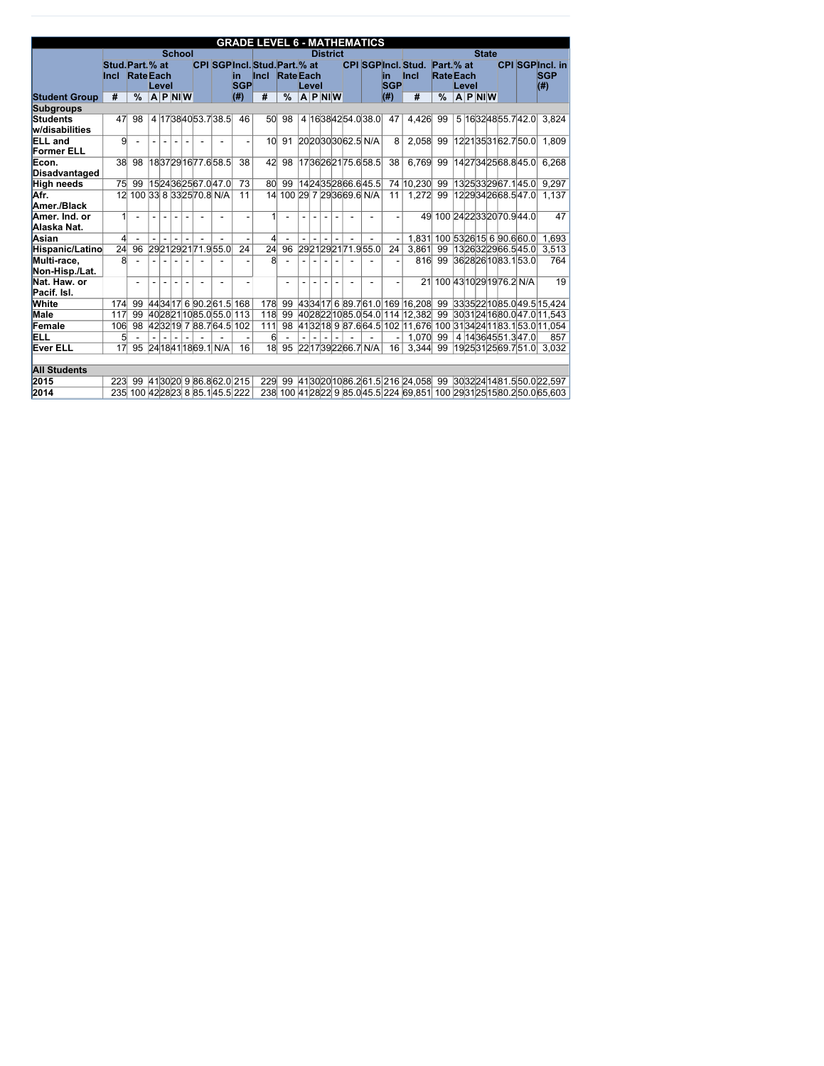|                               |                                 |                  |       |                          |                  |                                  |                   | <b>GRADE LEVEL 6 - MATHEMATICS</b>                    |               |                  |                 |                |                            |                   |                                          |                                |       |                  |                           |                                                                                 |
|-------------------------------|---------------------------------|------------------|-------|--------------------------|------------------|----------------------------------|-------------------|-------------------------------------------------------|---------------|------------------|-----------------|----------------|----------------------------|-------------------|------------------------------------------|--------------------------------|-------|------------------|---------------------------|---------------------------------------------------------------------------------|
|                               |                                 |                  |       |                          | <b>School</b>    |                                  |                   |                                                       |               |                  | <b>District</b> |                |                            |                   |                                          |                                |       | <b>State</b>     |                           |                                                                                 |
|                               | Stud. Part. % at<br><b>Incl</b> | <b>Rate</b> Each |       |                          |                  |                                  | lin<br><b>SGP</b> | <b>CPI SGPIncl. Stud. Part. % at</b><br>Incl RateEach |               | Level            |                 |                |                            | lin<br><b>SGP</b> | <b>CPI SGPIncl. Stud.</b><br><b>Incl</b> | Part. % at<br><b>Rate Each</b> | Level |                  |                           | <b>CPI SGPIncl. in</b><br><b>SGP</b>                                            |
| <b>Student Group</b>          | #                               | $\frac{0}{0}$    | Level |                          | $ A P $ NI $ W $ |                                  | $($ # $)$         | #                                                     | $\frac{0}{0}$ | $ A P $ NI $ W $ |                 |                |                            | $($ # $)$         | #                                        | $\frac{9}{6}$                  |       | $ A P $ NI $ W $ |                           | $($ # $)$                                                                       |
| <b>Subgroups</b>              |                                 |                  |       |                          |                  |                                  |                   |                                                       |               |                  |                 |                |                            |                   |                                          |                                |       |                  |                           |                                                                                 |
| <b>Students</b>               | 47                              | 98               |       |                          |                  | 4 1738 40 53 7 38 5              | 46                | 50 <sup>1</sup>                                       | 98            |                  |                 |                | 4 1638 42 54 0 38 0        | 47                | 4,426                                    | 99                             |       |                  | 5 1632 48 55 7 42 0       | 3,824                                                                           |
| w/disabilities                |                                 |                  |       |                          |                  |                                  |                   |                                                       |               |                  |                 |                |                            |                   |                                          |                                |       |                  |                           |                                                                                 |
| <b>ELL</b> and                | 9                               |                  |       |                          |                  |                                  |                   | 10 <sup>l</sup>                                       | 91            |                  |                 |                | 2020303062.5 N/A           | 8                 | 2,058                                    | 99                             |       |                  | 1221353162.750.0          | 1,809                                                                           |
| <b>Former ELL</b>             |                                 |                  |       |                          |                  |                                  |                   |                                                       |               |                  |                 |                |                            |                   |                                          |                                |       |                  |                           |                                                                                 |
| Econ.                         | 38                              | 98               |       |                          |                  | 18 37 29 16 77.6 58.5            | 38                | 42                                                    | 98            |                  |                 |                | 1736262175.658.5           | 38                | 6,769                                    | 99                             |       |                  | 14 27 34 25 68.8 45.0     | 6,268                                                                           |
| Disadvantaged                 |                                 |                  |       |                          |                  |                                  |                   |                                                       |               |                  |                 |                |                            |                   |                                          |                                |       |                  |                           |                                                                                 |
| <b>High needs</b>             | 75                              | 99               |       |                          |                  | 15  24  36  25  67.0  47.0       | 73                | 80 <sup>1</sup>                                       | 99            |                  |                 |                | 14 24 35 28 66.6 45.5      |                   | 74 10,230                                | 99                             |       |                  | 13 25 33 29 67.1 45.0     | 9,297                                                                           |
| Afr.                          | 12                              |                  |       |                          |                  | 100 33 8 33 25 70 8 N/A          | 11                |                                                       |               |                  |                 |                | 14 100 29 7 29 36 69 6 N/A | 11                | 1,272                                    | 99                             |       |                  | 1229342668.547.0          | 1,137                                                                           |
| Amer./Black                   |                                 |                  |       |                          |                  |                                  |                   |                                                       |               |                  |                 |                |                            |                   |                                          |                                |       |                  |                           |                                                                                 |
| Amer. Ind. or<br>Alaska Nat.  | 1                               | $\overline{a}$   |       |                          |                  |                                  |                   |                                                       |               |                  |                 |                |                            |                   | 49                                       |                                |       |                  | 100 24 22 33 20 70 9 44 0 | 47                                                                              |
| Asian                         | 4                               |                  |       |                          |                  |                                  |                   | 4                                                     |               |                  |                 |                |                            |                   |                                          | 1,831 100 53 26 15 6 90.6 60.0 |       |                  |                           | 1,693                                                                           |
| Hispanic/Latino               | $\overline{24}$                 | 96               |       |                          |                  | 2921292171.955.0                 | 24                | $\overline{24}$                                       | 96            |                  |                 |                | 2921292171.955.0           | 24                | 3,861                                    | 99                             |       |                  | 1326322966.545.0          | 3,513                                                                           |
| Multi-race,<br>Non-Hisp./Lat. | 8                               |                  |       |                          |                  |                                  |                   | 8                                                     |               |                  |                 |                |                            |                   | 816                                      | 99                             |       |                  | 3628261083.153.0          | 764                                                                             |
| Nat. Haw. or<br>Pacif. Isl.   |                                 | $\overline{a}$   |       |                          |                  |                                  |                   |                                                       |               |                  |                 |                |                            |                   | 21                                       |                                |       |                  | 100 43 10 29 19 76.2 N/A  | 19                                                                              |
| <b>White</b>                  | 174                             | 99               |       |                          |                  | 443417 6 90.2 61.5 168           |                   | 178                                                   | 99            |                  |                 |                |                            |                   | 433417 6 89.7 61.0 169 16,208 99         |                                |       |                  |                           | 33 35 22 10 85.0 49.5 15.424                                                    |
| <b>Male</b>                   | 117                             | 99               |       |                          |                  | 4028211085.055.0113              |                   | 118                                                   | 99            |                  |                 |                |                            |                   | 4028221085.054.0114 12,382 99            |                                |       |                  |                           | 30 31 24 16 80.0 47.0 11.543                                                    |
| Female                        | 106                             | 98               |       |                          |                  | 423219 7 88.7 64.5 102           |                   | 111                                                   | 98            |                  |                 |                |                            |                   |                                          |                                |       |                  |                           | 41 32 18  9  87.6  64.5  102   11,676  100   31  34  24  11  83.1  53.0  11,054 |
| ELL                           | 5                               |                  |       | $\overline{\phantom{a}}$ |                  |                                  |                   | $6 \mid$                                              |               |                  | $\blacksquare$  | $\blacksquare$ |                            |                   | 1,070                                    | 99                             |       |                  | 4 14 36 45 51.3 47.0      | 857                                                                             |
| <b>Ever ELL</b>               | 17                              | 95               |       |                          |                  | 24 18 41 18 69.1 N/A             | 16                | 18                                                    |               |                  |                 |                | 95 2217392266.7 N/A        | 16                | 3,344                                    | 99                             |       |                  | 19 25 31 25 69.7 51.0     | 3,032                                                                           |
|                               |                                 |                  |       |                          |                  |                                  |                   |                                                       |               |                  |                 |                |                            |                   |                                          |                                |       |                  |                           |                                                                                 |
| <b>All Students</b>           |                                 |                  |       |                          |                  |                                  |                   |                                                       |               |                  |                 |                |                            |                   |                                          |                                |       |                  |                           |                                                                                 |
| 2015                          | 223                             | 99               |       |                          |                  | 413020 9 86.8 62.0 215           |                   |                                                       |               |                  |                 |                |                            |                   |                                          |                                |       |                  |                           | 229 99 4130 20 10 86 2 61 5 216 24 058 99 30 32 24 14 81 5 50 0 22 5 97         |
| 2014                          |                                 |                  |       |                          |                  | 235 100 42 28 23 8 85.1 45.5 222 |                   |                                                       |               |                  |                 |                |                            |                   |                                          |                                |       |                  |                           | 238 100 41 28 22 9 85.0 45.5 224 69,851 100 29 31 25 15 80.2 50.0 65,603        |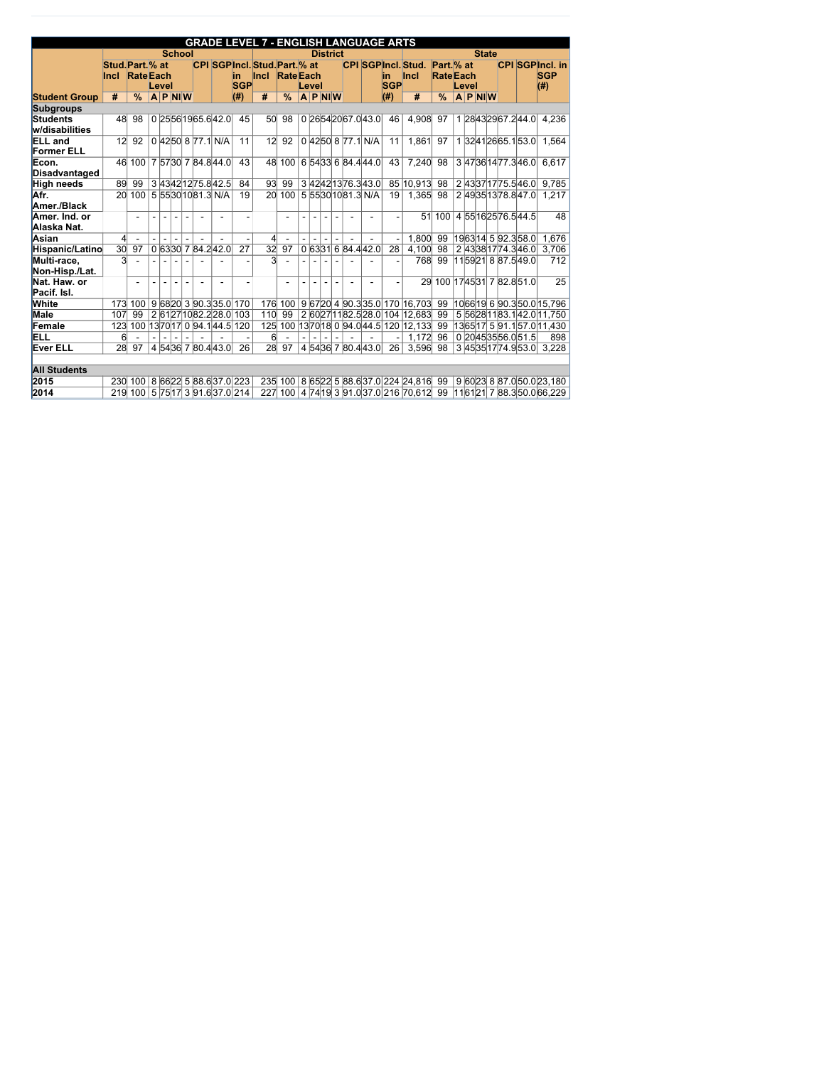|                                     |                                 |                  |                          |                |                |  |                                 |                    | <b>GRADE LEVEL 7 - ENGLISH LANGUAGE ARTS</b> |                 |                |                |                          |                |                                           |                   |             |                 |                                |       |              |                         |                                                |
|-------------------------------------|---------------------------------|------------------|--------------------------|----------------|----------------|--|---------------------------------|--------------------|----------------------------------------------|-----------------|----------------|----------------|--------------------------|----------------|-------------------------------------------|-------------------|-------------|-----------------|--------------------------------|-------|--------------|-------------------------|------------------------------------------------|
|                                     |                                 |                  |                          |                | <b>School</b>  |  |                                 |                    |                                              |                 |                |                | <b>District</b>          |                |                                           |                   |             |                 |                                |       | <b>State</b> |                         |                                                |
|                                     | Stud. Part. % at<br><b>Incl</b> | <b>Rate</b> Each |                          | Level          |                |  |                                 | lin.<br><b>SGP</b> | CPI SGPIncl. Stud. Part. % at<br><b>Incl</b> | <b>RateEach</b> |                | Level          |                          |                | <b>CPI SGPIncl. Stud.</b>                 | lin<br><b>SGP</b> | <b>Incl</b> |                 | Part. % at<br><b>Rate</b> Each | Level |              |                         | <b>CPI SGPIncl. in</b><br><b>SGP</b><br>$(\#)$ |
| <b>Student Group</b>                | #                               | $\frac{0}{0}$    |                          | $A$ P NIW      |                |  |                                 | (#)                | #                                            | $\frac{9}{6}$   |                |                | $A$ P NIW                |                |                                           | $($ # $)$         |             | #               | $\frac{0}{0}$                  |       | $A$ P NIW    |                         |                                                |
| <b>Subgroups</b>                    |                                 |                  |                          |                |                |  |                                 |                    |                                              |                 |                |                |                          |                |                                           |                   |             |                 |                                |       |              |                         |                                                |
| Students<br>w/disabilities          | 48                              | 98               |                          |                |                |  | 0 25 56 19 65 6 42 0            | 45                 |                                              | 50 98           |                |                |                          |                | 0 26 54 20 67 0 43 0                      | 46                |             | 4,908           | 97                             |       |              | 1 28 43 29 67 2 44 0    | 4,236                                          |
| <b>ELL</b> and<br><b>Former ELL</b> | 12 <sup>1</sup>                 | 92               |                          |                |                |  | 0 4250 8 77.1 N/A               | 11                 | 12                                           | 92              |                |                |                          |                | 0 4250 8 77.1 N/A                         | 11                |             | 1,861           | 97                             |       |              | 1 3241 26 65.1 53.0     | 1,564                                          |
| Econ.<br>Disadvantaged              | 46                              | 100              |                          |                |                |  | 7 57 30 7 84.8 44.0             | 43                 |                                              | 48 100          |                |                |                          |                | 6 54 33 6 84.4 44.0                       | 43                |             | 7,240           | 98                             |       |              | 347361477.346.0         | 6,617                                          |
| <b>High needs</b>                   | 89                              | 99               |                          |                |                |  | 343421275.842.5                 | 84                 | 93                                           | 99              |                |                |                          |                | 3 42 42 13 76 3 43 0                      |                   |             | 85 10,913 98    |                                |       |              | 2 43 37 17 75.5 46.0    | 9,785                                          |
| Afr.<br>Amer./Black                 | 20 <sup>°</sup>                 | 100              |                          |                |                |  | 5 5530 10 81.3 N/A              | 19                 |                                              | 20 100          |                |                |                          |                | 5 5530 10 81.3 N/A                        | 19                |             | 1,365           | 98                             |       |              | 2 49 35 13 78 8 47 0    | 1,217                                          |
| Amer. Ind. or<br>Alaska Nat.        |                                 | $\blacksquare$   | $\blacksquare$           | $\sim$         |                |  |                                 | $\blacksquare$     |                                              |                 | $\blacksquare$ | $\blacksquare$ | $\blacksquare$           | $\blacksquare$ |                                           |                   |             | 51              | 100                            |       |              | 4 55 16 25 76 5 44 5    | 48                                             |
| Asian                               | $\overline{4}$                  |                  |                          |                |                |  |                                 |                    | $\left  \right $                             |                 |                |                | $\blacksquare$           |                |                                           |                   |             | 1,800           | 99                             |       |              | 1963 14 5 92.3 58.0     | 1,676                                          |
| Hispanic/Latino                     | $\overline{30}$                 | 97               |                          |                |                |  | 0 6330 7 84.2 42.0              | 27                 | $\overline{32}$                              | 97              |                |                |                          |                | 0 63 31 6 84.4 42.0                       | 28                |             | 4,100           | 98                             |       |              | 243381774.346.0         | 3,706                                          |
| Multi-race,<br>Non-Hisp./Lat.       | 3                               |                  | $\overline{\phantom{a}}$ |                |                |  |                                 |                    | 3                                            |                 |                |                |                          |                |                                           |                   |             | 768             | 99                             |       |              | 11 59 21 8 87.5 49.0    | 712                                            |
| Nat. Haw. or<br>Pacif. Isl.         |                                 | $\overline{a}$   |                          |                |                |  |                                 |                    |                                              |                 |                |                |                          |                |                                           |                   |             | 29 <sup>°</sup> |                                |       |              | 100 1745 31 7 82.8 51.0 | 25                                             |
| <b>White</b>                        | 173                             | 100              |                          |                |                |  | 9 68 20 3 90.3 35.0 170         |                    |                                              | 176 100         |                |                |                          |                | 9 67 20 4 90.3 35.0 170 16,703            |                   |             |                 | 99                             |       |              |                         | 1066 19 6 90 3 50 0 15,796                     |
| <b>Male</b>                         | 107                             | 99               |                          |                |                |  | 2 61271082.228.0 103            |                    | 110                                          | 99              |                |                |                          |                | 2 60 27 11 82.5 28.0 104 12,683           |                   |             |                 | 99                             |       |              |                         | 5 56 28 11 83.1 42.0 11,750                    |
| Female                              | 123                             | 100              |                          |                |                |  | 13 70 17  0  94.1 44.5  120     |                    |                                              |                 |                |                |                          |                | 125 100 13 70 18 0 94.0 44.5 120 12, 133  |                   |             |                 | 99                             |       |              |                         | 1365 17 5 91.1 57.0 11,430                     |
| <b>ELL</b>                          | 6                               | $\blacksquare$   | $\sim$                   | $\blacksquare$ | $\blacksquare$ |  |                                 |                    | 6 <sup>1</sup>                               |                 | $\blacksquare$ | $\blacksquare$ | $\overline{\phantom{a}}$ | $\blacksquare$ |                                           |                   |             | 1,172           | 96                             |       |              | 0 20 45 35 56.0 51.5    | 898                                            |
| <b>Ever ELL</b>                     | 28                              | 97               |                          |                |                |  | 4 54 36 7 80 4 43 0             | 26                 |                                              | 28 97           |                |                |                          |                | 4 54 36 7 80.4 43.0                       | 26                |             | 3,596           | 98                             |       |              | 345351774.953.0         | 3,228                                          |
| <b>All Students</b>                 |                                 |                  |                          |                |                |  |                                 |                    |                                              |                 |                |                |                          |                |                                           |                   |             |                 |                                |       |              |                         |                                                |
| 2015                                |                                 | 230 100          |                          |                |                |  | 8 66 22 5 88.6 37.0 223         |                    |                                              |                 |                |                |                          |                | 235 100 8 65 22 5 88.6 37.0 224 24,816 99 |                   |             |                 |                                |       |              |                         | 9 60 23 8 87.0 50.0 23,180                     |
| $ 2014\rangle$                      |                                 |                  |                          |                |                |  | 219 100 5 75 17 3 91.6 37.0 214 |                    |                                              |                 |                |                |                          |                | 227 100 4 74 19 3 91.0 37.0 216 70,612 99 |                   |             |                 |                                |       |              |                         | 11 61 21 7 88.3 50.0 66,229                    |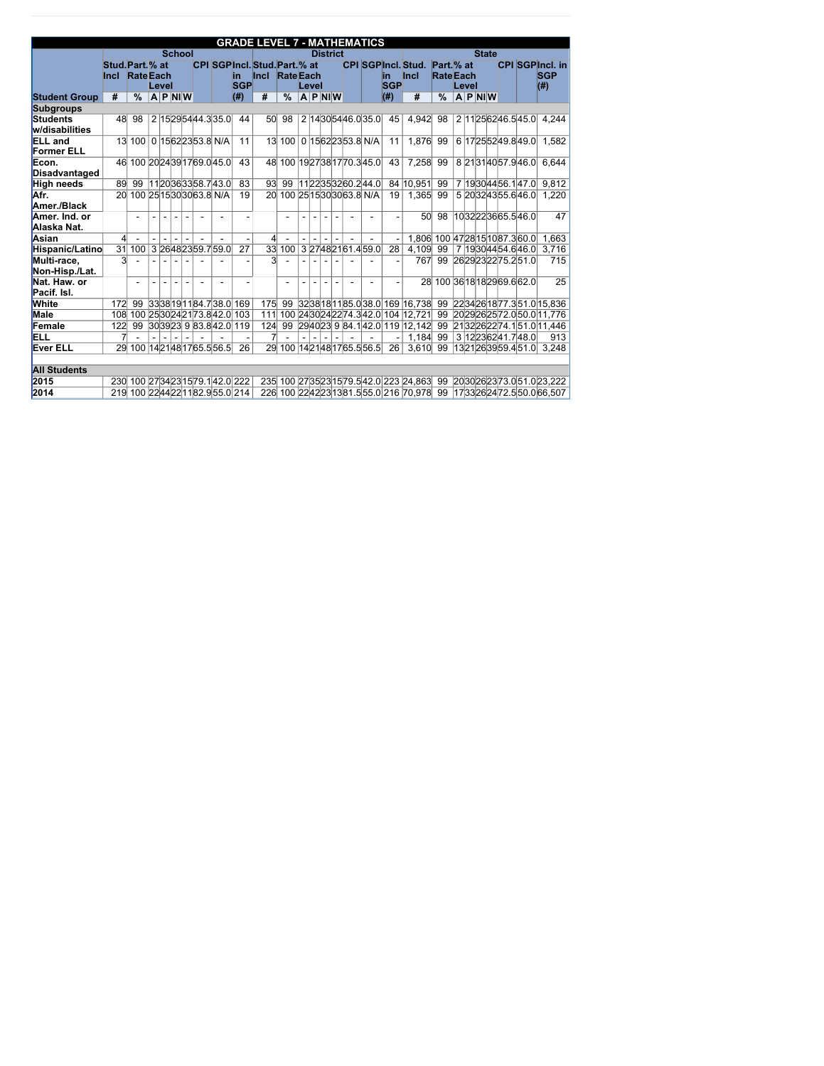|                                     |                                 |                  |       |                |  |                                 |                    | <b>GRADE LEVEL 7 - MATHEMATICS</b>             |               |       |                |                 |                          |                                                                                                 |                   |             |                 |                                           |       |                  |                                 |                                                   |
|-------------------------------------|---------------------------------|------------------|-------|----------------|--|---------------------------------|--------------------|------------------------------------------------|---------------|-------|----------------|-----------------|--------------------------|-------------------------------------------------------------------------------------------------|-------------------|-------------|-----------------|-------------------------------------------|-------|------------------|---------------------------------|---------------------------------------------------|
|                                     |                                 |                  |       | <b>School</b>  |  |                                 |                    |                                                |               |       |                | <b>District</b> |                          |                                                                                                 |                   |             |                 |                                           |       | <b>State</b>     |                                 |                                                   |
|                                     | Stud. Part. % at<br><b>Incl</b> | <b>Rate</b> Each | Level |                |  |                                 | lin.<br><b>SGP</b> | CPI SGPIncl. Stud. Part. % at<br>Incl RateEach |               | Level |                |                 |                          | <b>CPI SGPIncl. Stud.</b>                                                                       | lin<br><b>SGP</b> | <b>Incl</b> |                 | Part. <sub>%</sub> at<br><b>Rate</b> Each | Level |                  |                                 | <b>CPI SGPIncl. in</b><br><b>SGP</b><br>$($ # $)$ |
| <b>Student Group</b>                | #                               | $\frac{0}{0}$    |       | $A$ P NIW      |  |                                 | $($ # $)$          | #                                              | $\frac{0}{0}$ |       |                | $A$ P NIW       |                          |                                                                                                 | $($ # $)$         |             | #               | $\frac{0}{0}$                             |       | $ A P $ NI $ W $ |                                 |                                                   |
| <b>Subgroups</b>                    |                                 |                  |       |                |  |                                 |                    |                                                |               |       |                |                 |                          |                                                                                                 |                   |             |                 |                                           |       |                  |                                 |                                                   |
| <b>Students</b><br>w/disabilities   | 48                              | 98               |       |                |  | 2 15 29 54 44.3 35.0            | 44                 | 50                                             | 98            |       |                |                 |                          | 2 1430 54 46.0 35.0                                                                             | 45                |             | 4,942           | 98                                        |       |                  | 2 11 25 62 46.5 45.0            | 4,244                                             |
| <b>ELL</b> and<br><b>Former ELL</b> | 13                              | 100              |       |                |  | 0 15 62 23 53.8 N/A             | 11                 |                                                | 13 100        |       |                |                 |                          | 0 15 62 23 53.8 N/A                                                                             | 11                |             | 1,876           | 99                                        |       |                  | 6 17 25 52 49.8 49.0            | 1,582                                             |
| Econ.<br>Disadvantaged              | 46                              |                  |       |                |  | 100 20 24 39 17 69 0 45 0       | 43                 |                                                |               |       |                |                 |                          | 48 100 19 27 38 17 70 3 45 0                                                                    | 43                |             | 7,258           | 99                                        |       |                  | 8 21 31 40 57 9 46 0            | 6,644                                             |
| <b>High needs</b>                   | 89                              | 99               |       |                |  | 1120363358.743.0                | 83                 | 93                                             | 99            |       |                |                 |                          | 1122353260.244.0                                                                                |                   |             | 84 10,951       | 99                                        |       |                  | 7 1930 44 56 1 47 0             | 9,812                                             |
| Afr.<br>Amer./Black                 | 20 <sup>1</sup>                 |                  |       |                |  | 100 25 15 30 30 63.8 N/A        | 19                 |                                                |               |       |                |                 |                          | 20 100 25 15 30 30 63.8 N/A                                                                     | 19                |             | 1,365           | 99                                        |       |                  | 5 20 32 43 55.6 46.0            | 1,220                                             |
| Amer. Ind. or<br>Alaska Nat.        |                                 | $\blacksquare$   |       |                |  |                                 |                    |                                                |               |       |                |                 |                          |                                                                                                 |                   |             | 50 <sub>l</sub> | 98                                        |       |                  | 1032223665.546.0                | 47                                                |
| Asian                               | $\overline{4}$                  |                  |       |                |  |                                 |                    | $\left  \right $                               |               |       |                |                 |                          |                                                                                                 |                   |             |                 |                                           |       |                  | 1,806 100 47 28 15 10 87.3 60.0 | 1,663                                             |
| Hispanic/Latino                     | $\overline{31}$                 | 100              |       |                |  | 3 26 48 23 59 7 59 0            | $\overline{27}$    | 33                                             | 100           |       |                |                 |                          | 3 27 48 21 61.4 59.0                                                                            | 28                |             | 4,109           | 99                                        |       |                  | 7 1930 44 54.6 46.0             | 3,716                                             |
| Multi-race,<br>Non-Hisp./Lat.       | 3                               |                  |       |                |  |                                 |                    | 3                                              |               |       |                |                 |                          |                                                                                                 |                   |             | 767             | 99                                        |       |                  | 2629232275.251.0                | 715                                               |
| Nat. Haw. or<br>Pacif. Isl.         |                                 |                  |       |                |  |                                 |                    |                                                |               |       |                |                 |                          |                                                                                                 |                   |             |                 |                                           |       |                  | 28 100 36 18 18 29 69 6 62 0    | $\overline{25}$                                   |
| <b>White</b>                        | 172                             | 99               |       |                |  | 3338191184.738.0169             |                    | 175                                            | 99            |       |                |                 |                          | 32 38 18 11 85.0 38.0 169 16.738                                                                |                   |             |                 | -99                                       |       |                  |                                 | 2234261877.351.015,836                            |
| <b>Male</b>                         | 108                             |                  |       |                |  | 100 25 30 24 21 73.8 42.0 103   |                    | 111                                            |               |       |                |                 |                          | 100 24 30 24 22 74 3 42 0 104 12, 721                                                           |                   |             |                 | 99                                        |       |                  |                                 | 20 29 26 25 72.0 50.0 11,776                      |
| Female                              | 122                             | 99               |       |                |  | $ 30 39 23 $ 9 $ 83.8 42.0 119$ |                    | 124                                            | 99            |       |                |                 |                          | $\left  2940 \right  23 \left  9 \right  84.1 \left  42.0 \right  119 \left  12.142 \right  99$ |                   |             |                 |                                           |       |                  |                                 | 2132262274.151.011,446                            |
| ELL                                 | 7                               |                  |       | $\blacksquare$ |  |                                 |                    | 7                                              |               |       | $\blacksquare$ | $\blacksquare$  | $\overline{\phantom{a}}$ |                                                                                                 |                   |             |                 | 1,184 99                                  |       |                  | 3 12 23 6 2 41.7 48.0           | 913                                               |
| <b>Ever ELL</b>                     | 29 <sup>°</sup>                 |                  |       |                |  | 100 14 21 48 17 65.5 56.5       | 26                 |                                                |               |       |                |                 |                          | 29 100 14 21 48 17 65 5 5 6 5                                                                   | 26                |             |                 | 3,610 99                                  |       |                  | 13 21 26 39 59.4 51.0           | 3,248                                             |
| <b>All Students</b>                 |                                 |                  |       |                |  |                                 |                    |                                                |               |       |                |                 |                          |                                                                                                 |                   |             |                 |                                           |       |                  |                                 |                                                   |
| 2015                                | 230                             |                  |       |                |  | 100 27 34 23 15 79 1 42 0 222   |                    |                                                |               |       |                |                 |                          | 235 100 27 35 23 15 79 5 42 0 223 24 863 99                                                     |                   |             |                 |                                           |       |                  |                                 | 2030262373.051.023,222                            |
| 2014                                | 219                             |                  |       |                |  | 100 22 44 22 11 82.9 55.0 214   |                    |                                                |               |       |                |                 |                          | 226 100 2242 23 13 81.5 55.0 216 70,978 99                                                      |                   |             |                 |                                           |       |                  |                                 | 1733262472.550.066,507                            |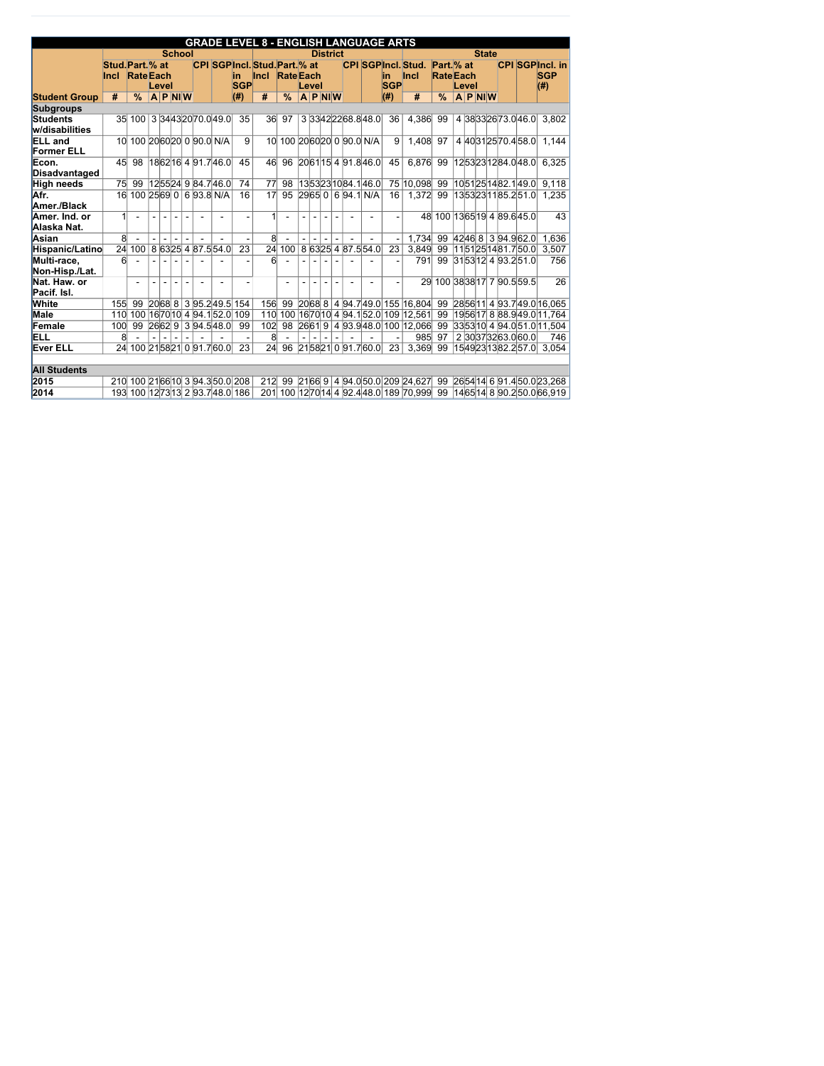|                                     |                                 |                  |                          |           |               |  |                                  |                          | <b>GRADE LEVEL 8 - ENGLISH LANGUAGE ARTS</b>          |                     |                |                |                 |                |                            |                   |                                            |                                |       |              |                          |                                                |
|-------------------------------------|---------------------------------|------------------|--------------------------|-----------|---------------|--|----------------------------------|--------------------------|-------------------------------------------------------|---------------------|----------------|----------------|-----------------|----------------|----------------------------|-------------------|--------------------------------------------|--------------------------------|-------|--------------|--------------------------|------------------------------------------------|
|                                     |                                 |                  |                          |           | <b>School</b> |  |                                  |                          |                                                       |                     |                |                | <b>District</b> |                |                            |                   |                                            |                                |       | <b>State</b> |                          |                                                |
|                                     | Stud. Part. % at<br><b>Incl</b> | <b>Rate</b> Each |                          | Level     |               |  |                                  | lin.<br><b>SGP</b>       | <b>CPI SGPIncl. Stud. Part. % at</b><br>Incl RateEach |                     |                | Level          |                 |                |                            | lin<br><b>SGP</b> | <b>CPI SGPIncl. Stud.</b><br><b>Incl</b>   | Part. % at<br><b>Rate</b> Each | Level |              |                          | <b>CPI SGPIncl. in</b><br><b>SGP</b><br>$(\#)$ |
| <b>Student Group</b>                | #                               | $\frac{9}{6}$    |                          | $A$ P NIW |               |  |                                  | (#)                      | #                                                     | $\frac{0}{0}$       |                |                | $A$ P NIW       |                |                            | $($ # $)$         | #                                          | $\frac{0}{0}$                  |       | $A$ P NIW    |                          |                                                |
| <b>Subgroups</b>                    |                                 |                  |                          |           |               |  |                                  |                          |                                                       |                     |                |                |                 |                |                            |                   |                                            |                                |       |              |                          |                                                |
| Students<br>w/disabilities          |                                 | 35 100           |                          |           |               |  | 3 3443 20 70 0 49 0              | 35                       |                                                       | 36 97               |                |                |                 |                | 3 3342 22 68.8 48.0        | 36                | 4,386                                      | 99                             |       |              | 4 38 33 26 73 0 46 0     | 3,802                                          |
| <b>ELL</b> and<br><b>Former ELL</b> | 10 <sup>1</sup>                 |                  |                          |           |               |  | 100 20 60 20 0 90.0 N/A          | 9                        |                                                       |                     |                |                |                 |                | 10 100 20 60 20 0 90.0 N/A | 9                 | 1,408                                      | 97                             |       |              | 4 40 31 25 70 4 58 0     | 1,144                                          |
| Econ.<br>Disadvantaged              | 45                              | 98               |                          |           |               |  | 1862 16 4 91.7 46.0              | 45                       | 46                                                    | 96                  |                |                |                 |                | $206115$ 4 91.846.0        | 45                | 6,876                                      | 99                             |       |              | 1253231284.048.0         | 6,325                                          |
| <b>High needs</b>                   | 75                              | 99               |                          |           |               |  | 125524 9 84.7 46.0               | 74                       | 77                                                    | 98                  |                |                |                 |                | 13 53 23 10 84.1 46.0      |                   | 75 10,098 99                               |                                |       |              | $10$ 51251482.149.0      | 9,118                                          |
| Afr.<br>Amer./Black                 | 16                              |                  |                          |           |               |  | 100 25 69 0 6 93.8 N/A           | 16                       | 17                                                    | 95                  |                |                |                 |                | $2965$ 0 6 94.1 N/A        | 16                | 1,372                                      | 99                             |       |              | 1353231185.251.0         | 1,235                                          |
| Amer. Ind. or<br>Alaska Nat.        | $\mathbf{1}$                    | $\blacksquare$   | $\blacksquare$           | $\sim$    |               |  |                                  | $\blacksquare$           |                                                       |                     | $\overline{a}$ |                | $\blacksquare$  | $\blacksquare$ |                            |                   |                                            | 48 100 1365 19 4 89 6 45 0     |       |              |                          | 43                                             |
| Asian                               | 8 <sup>1</sup>                  |                  |                          |           |               |  |                                  |                          | 8 <sup>1</sup>                                        |                     |                |                |                 |                |                            |                   | 1,734                                      | 99                             |       |              | 42 46 8 3 94.9 62.0      | 1,636                                          |
| Hispanic/Latino                     | 24                              | 100              |                          |           |               |  | 8 63 25 4 87.5 54.0              | 23                       |                                                       | $\overline{24}$ 100 |                |                |                 |                | 8 63 25 4 87.5 54.0        | 23                | 3,849                                      | 99                             |       |              | 1151251481.750.0         | 3,507                                          |
| Multi-race,<br>Non-Hisp./Lat.       | 6 <sup>1</sup>                  |                  | $\overline{\phantom{a}}$ |           |               |  |                                  | $\overline{\phantom{a}}$ | $6 \mid$                                              |                     |                |                |                 |                |                            |                   | 791                                        | 99                             |       |              | 31 53 12 4 93.2 51.0     | 756                                            |
| Nat. Haw. or<br>Pacif. Isl.         |                                 | $\overline{a}$   |                          |           |               |  |                                  |                          |                                                       |                     |                |                |                 |                |                            |                   | 29 <sup>°</sup>                            |                                |       |              | 100 38 38 17 7 90.5 59.5 | 26                                             |
| <b>White</b>                        | 155                             | 99               |                          | 2068 8    |               |  | 395.249.5154                     |                          |                                                       | 156 99              |                |                |                 |                |                            |                   | 2068 8 4 94.7 49.0 155 16,804              | 99                             |       |              |                          | 28 56 11 4 93.7 49.0 16,065                    |
| <b>Male</b>                         | 110                             | 100              |                          |           |               |  | 16 70 10 4 94.1 52.0             | 109                      |                                                       |                     |                |                |                 |                |                            |                   | 110 100 16 70 10 4 94 1 52 0 109 12,561    | 99                             |       |              |                          | 1956 17 8 88 9 49 0 11, 764                    |
| Female                              | 100                             | 99               |                          |           |               |  | 26 62 9 3 94.5 48.0              | 99                       | 102                                                   | 98                  |                |                |                 |                |                            |                   | 26 61 9 4 93.9 48.0 100 12,066 99          |                                |       |              |                          | 33 53 10 4 94.0 51.0 11.504                    |
| <b>ELL</b>                          | 8                               | $\blacksquare$   | $\sim$                   |           |               |  |                                  |                          | 8 <sup>0</sup>                                        |                     | $\overline{a}$ | $\blacksquare$ | $\blacksquare$  | $\blacksquare$ |                            |                   | 985                                        | 97                             |       |              | 2 30 37 32 63.0 60.0     | 746                                            |
| <b>Ever ELL</b>                     |                                 |                  |                          |           |               |  | 24 100 21 58 21 0 91.7 60.0      | 23                       | 24                                                    | 96                  |                |                |                 |                | 215821091.760.0            | 23                | 3,369                                      | 99                             |       |              | 15 49 23 13 82.2 57.0    | 3,054                                          |
| <b>All Students</b>                 |                                 |                  |                          |           |               |  |                                  |                          |                                                       |                     |                |                |                 |                |                            |                   |                                            |                                |       |              |                          |                                                |
| 2015                                |                                 |                  |                          |           |               |  | 210 100 21 66 10 3 94.3 50.0 208 |                          |                                                       |                     |                |                |                 |                |                            |                   | 212 99 21 66 9 4 94 0 50 0 209 24 6 27 99  |                                |       |              |                          | $2654$ 14 6 91.4 50.0 23,268                   |
| $ 2014\rangle$                      |                                 |                  |                          |           |               |  | 193 100 12 73 13 2 93.7 48.0 186 |                          |                                                       |                     |                |                |                 |                |                            |                   | 201 100 12 70 14 4 92.4 48.0 189 70,999 99 |                                |       |              |                          | 14 65 14 8 90.2 50.0 66.919                    |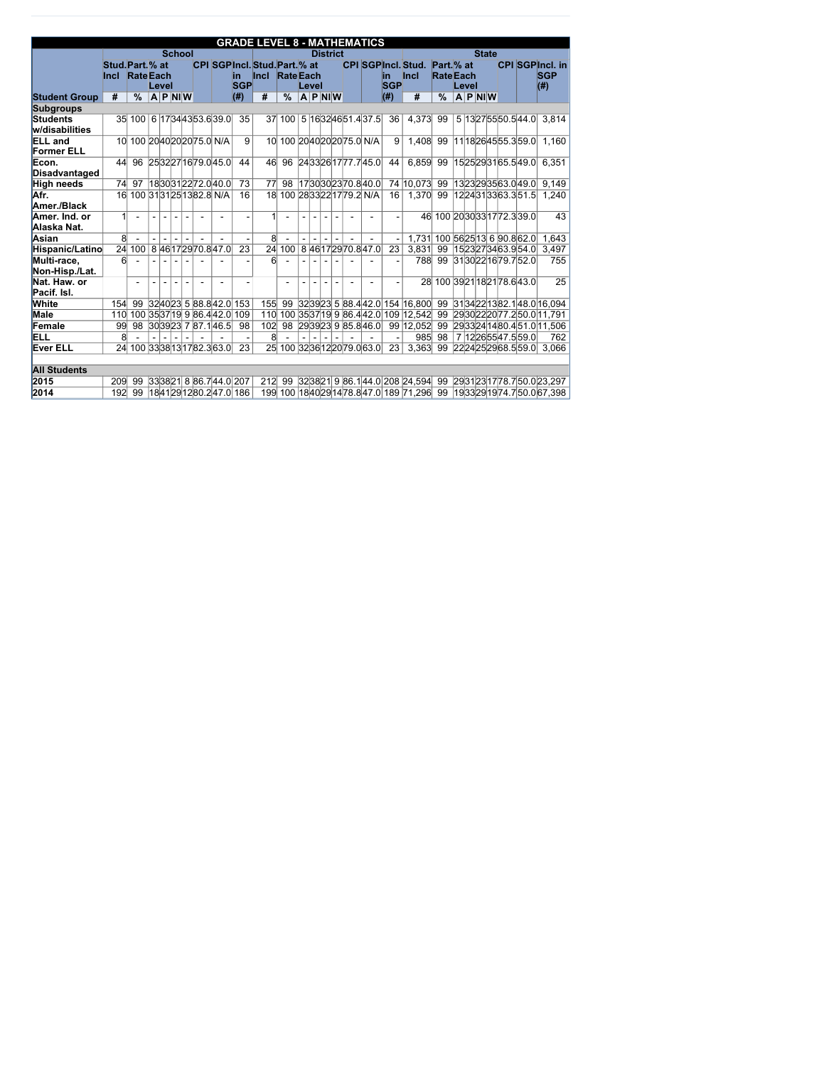|                                     |                                          |                              |                |                  |  |                              |                    | <b>GRADE LEVEL 8 - MATHEMATICS</b>                  |                  |       |                 |                          |                              |                  |                                           |                                |       |              |                              |                                             |
|-------------------------------------|------------------------------------------|------------------------------|----------------|------------------|--|------------------------------|--------------------|-----------------------------------------------------|------------------|-------|-----------------|--------------------------|------------------------------|------------------|-------------------------------------------|--------------------------------|-------|--------------|------------------------------|---------------------------------------------|
|                                     |                                          |                              |                | <b>School</b>    |  |                              |                    |                                                     |                  |       | <b>District</b> |                          |                              |                  |                                           |                                |       | <b>State</b> |                              |                                             |
|                                     | Stud. Part. % at<br><b>Incl RateEach</b> |                              | Level          |                  |  |                              | lin.<br><b>SGP</b> | <b>CPI SGPIncl. Stud. Part. % at</b><br><b>Incl</b> | <b>Rate</b> Each | Level |                 |                          |                              | in<br><b>SGP</b> | <b>CPI SGPIncl. Stud.</b><br><b>Incl</b>  | Part. % at<br><b>Rate</b> Each | Level |              |                              | <b>CPI SGPIncl. in</b><br><b>SGP</b><br>(#) |
| <b>Student Group</b>                | #                                        | $\frac{0}{0}$                |                | $ A P $ NI $ W $ |  |                              | (#)                | #                                                   | $\frac{0}{0}$    |       | $A$ P NIW       |                          |                              | $($ # $)$        | #                                         | $\frac{0}{0}$                  |       | $A$ P NIW    |                              |                                             |
| <b>Subgroups</b>                    |                                          |                              |                |                  |  |                              |                    |                                                     |                  |       |                 |                          |                              |                  |                                           |                                |       |              |                              |                                             |
| <b>Students</b><br>w/disabilities   |                                          | 35 100 6 17 34 43 53.6 39.0  |                |                  |  |                              | 35                 |                                                     | 37 100           |       |                 |                          | 5 16 32 46 51.4 37.5         | 36               | 4,373                                     | 99                             |       |              | 5 13 27 55 50 5 44 0         | 3,814                                       |
| <b>ELL</b> and<br><b>Former ELL</b> | 10 <sup>1</sup>                          |                              |                |                  |  | 100 2040 20 20 75.0 N/A      | 9                  | 10 <sup>1</sup>                                     |                  |       |                 |                          | 100 20 40 20 20 75.0 N/A     | 9                | 1,408                                     | 99                             |       |              | 11 18 26 45 55.3 59.0        | 1,160                                       |
| Econ.<br>Disadvantaged              | 44                                       | 96                           |                |                  |  | 2532271679.045.0             | 44                 | 46                                                  | 96               |       |                 |                          | 24 33 26 17 77.7 45.0        | 44               | 6,859                                     | 99                             |       |              | 1525293165.549.0             | 6,351                                       |
| <b>High needs</b>                   | 74                                       | 97                           |                |                  |  | 1830312272.040.0             | 73                 | 77                                                  | 98               |       |                 |                          | 1730302370.840.0             |                  | 74 10,073                                 | 99                             |       |              | 1323293563.049.0             | 9,149                                       |
| Afr.                                | 16                                       |                              |                |                  |  | 100 3131 25 13 82.8 N/A      | 16                 | 18                                                  |                  |       |                 |                          | 100 28 33 22 17 79.2 N/A     | 16               | 1,370                                     | 99                             |       |              | 12  24  31  33  63.3  51.5   | 1,240                                       |
| Amer./Black                         |                                          |                              |                |                  |  |                              |                    |                                                     |                  |       |                 |                          |                              |                  |                                           |                                |       |              |                              |                                             |
| Amer. Ind. or<br>Alaska Nat.        | $\mathbf{1}$                             | $\blacksquare$               |                |                  |  |                              |                    |                                                     |                  |       |                 |                          |                              |                  |                                           |                                |       |              | 46 100 20 30 317 72.3 39.0   | 43                                          |
| Asian                               | 8 <sup>1</sup>                           |                              |                |                  |  |                              |                    | 8 <sup>°</sup>                                      |                  |       |                 |                          |                              |                  | 1,731                                     |                                |       |              | 100 56 25 13 6 90.8 62.0     | 1,643                                       |
| Hispanic/Latino                     | 24                                       | 100                          |                |                  |  | 8 46 17 29 70 8 47 0         | 23                 | 24                                                  | 100              |       |                 |                          | 846172970.847.0              | 23               | 3,831                                     | 99                             |       |              | 1523273463.954.0             | 3,497                                       |
| Multi-race,<br>Non-Hisp./Lat.       | 6                                        |                              |                |                  |  |                              |                    | $6 \times$                                          |                  |       |                 |                          |                              |                  | 788                                       | 99                             |       |              | 31 30 22 16 79.7 52.0        | 755                                         |
| Nat. Haw. or<br>Pacif. Isl.         |                                          | $\overline{a}$               |                |                  |  |                              |                    |                                                     |                  |       |                 |                          |                              |                  |                                           |                                |       |              | 28 100 39 21 18 21 78 6 43 0 | 25                                          |
| White                               | 154                                      | 99                           |                |                  |  | $324023$ 5 88.842.0 153      |                    | 155                                                 |                  |       |                 |                          |                              |                  | 99 323923 5 88.4 42.0 154 16,800          | 99                             |       |              |                              | 31 34 22 13 82.1 48.0 16.094                |
| <b>Male</b>                         | 110                                      |                              |                |                  |  | 100 35 37 19 9 86.4 42.0 109 |                    | 110                                                 |                  |       |                 |                          |                              |                  | 100 35 37 19 9 86.4 42.0 109 12,542       | 99                             |       |              |                              | 2930222077.250.011,791                      |
| Female                              | 99                                       | 98                           |                |                  |  | 303923 7 87.1 46.5           | 98                 | 102                                                 | 98               |       |                 |                          | 293923 9 85.8 46.0           |                  | 99 12,052                                 | 99                             |       |              |                              | 2933241480.451.011,506                      |
| <b>ELL</b>                          | 8                                        |                              | $\blacksquare$ | $\blacksquare$   |  |                              |                    | 8 <sup>°</sup>                                      |                  |       | $\blacksquare$  | $\overline{\phantom{a}}$ |                              |                  | 985                                       | 98                             |       |              | 7 12 26 55 47.5 59.0         | 762                                         |
| <b>Ever ELL</b>                     |                                          | 24 100 33 38 13 17 82.3 63.0 |                |                  |  |                              | 23                 |                                                     |                  |       |                 |                          | 25 100 32 36 12 20 79 0 63 0 | 23               | 3,363                                     | 99                             |       |              |                              | 22 24 25 29 68.5 59.0 3,066                 |
|                                     |                                          |                              |                |                  |  |                              |                    |                                                     |                  |       |                 |                          |                              |                  |                                           |                                |       |              |                              |                                             |
| <b>All Students</b>                 |                                          |                              |                |                  |  |                              |                    |                                                     |                  |       |                 |                          |                              |                  |                                           |                                |       |              |                              |                                             |
| 2015                                | 209                                      | 99                           |                |                  |  | 33 38 21 8 86.7 44.0 207     |                    | 212                                                 | 99               |       |                 |                          |                              |                  | 32 38 21 9 86.1 44.0 208 24.594           | 99                             |       |              |                              | 2931231778.750.023.297                      |
| 2014                                | 192                                      | 99                           |                |                  |  | 1841291280.247.0 186         |                    |                                                     |                  |       |                 |                          |                              |                  | 199 100 18 40 29 14 78 8 47 0 189 71, 296 | 99                             |       |              |                              | 19 33 29 19 74.7 50.0 67,398                |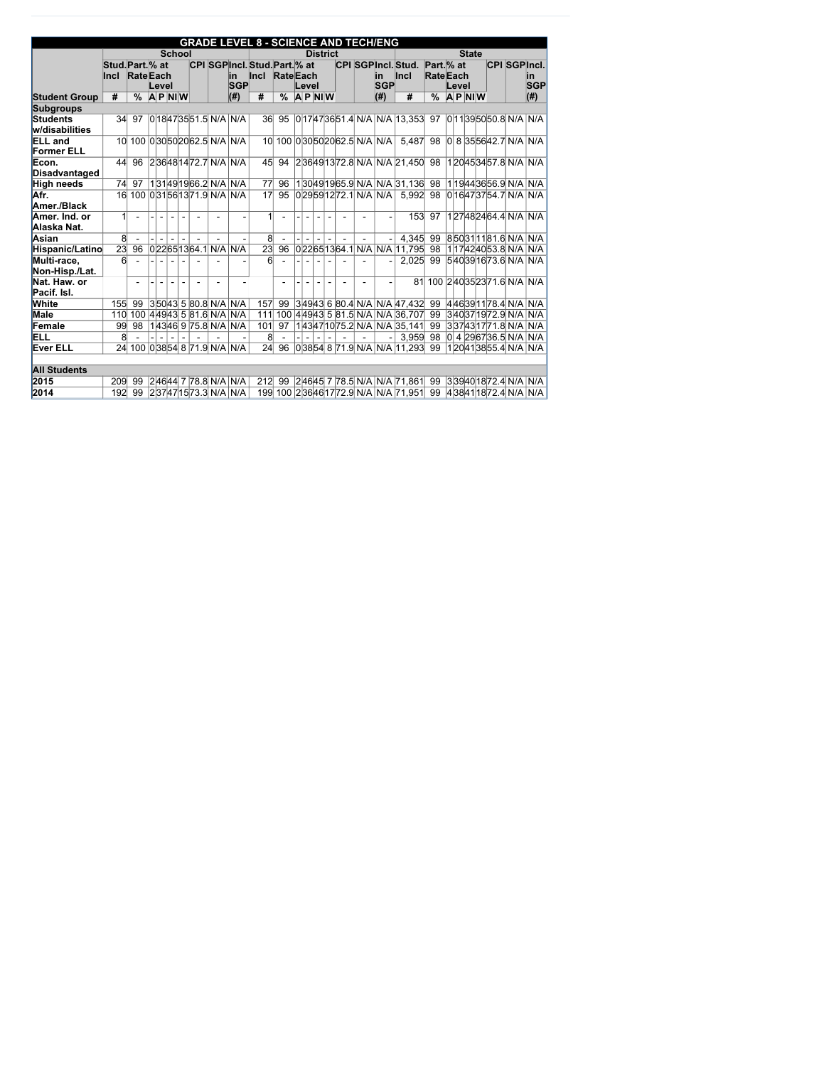|                                     |                  |                               |       |                          |                                    |                          |                            | <b>GRADE LEVEL 8 - SCIENCE AND TECH/ENG</b> |               |       |                |                 |                |                                |                                                                 |                  |       |              |           |  |                               |
|-------------------------------------|------------------|-------------------------------|-------|--------------------------|------------------------------------|--------------------------|----------------------------|---------------------------------------------|---------------|-------|----------------|-----------------|----------------|--------------------------------|-----------------------------------------------------------------|------------------|-------|--------------|-----------|--|-------------------------------|
|                                     |                  |                               |       | <b>School</b>            |                                    |                          |                            |                                             |               |       |                | <b>District</b> |                |                                |                                                                 |                  |       | <b>State</b> |           |  |                               |
|                                     | Stud. Part. % at |                               |       |                          |                                    |                          |                            | CPI SGPIncl. Stud. Part. % at               |               |       |                |                 |                |                                | CPI SGPIncl. Stud.                                              | $Part.$ % at     |       |              |           |  | <b>CPI SGPIncl.</b>           |
|                                     | <b>Incl</b>      | <b>RateEach</b>               |       |                          |                                    |                          | lin.                       | Incl RateEach                               |               |       |                |                 |                | in                             | <b>Incl</b>                                                     | <b>Rate</b> Each |       |              |           |  | <u>in</u>                     |
|                                     |                  |                               | Level |                          |                                    |                          | <b>SGP</b>                 |                                             |               | Level |                |                 |                | <b>SGP</b>                     |                                                                 |                  | Level |              |           |  | <b>SGP</b>                    |
| <b>Student Group</b>                | #                | $\frac{0}{0}$                 |       | $A$ P NIW                |                                    |                          | (#)                        | #                                           | $\frac{0}{0}$ |       |                | $ A $ P $ N $ W |                | (#)                            | #                                                               | $\frac{0}{0}$    |       |              | $A$ P NIW |  | (#)                           |
| <b>Subgroups</b>                    |                  |                               |       |                          |                                    |                          |                            |                                             |               |       |                |                 |                |                                |                                                                 |                  |       |              |           |  |                               |
| <b>Students</b><br>w/disabilities   | 34               | 97                            |       |                          |                                    |                          | $ 0 $ 18473551.5 N/A N/A   | 36 <sup>2</sup>                             | 95            |       |                |                 |                |                                | 0 17 47 36 51.4 N/A N/A 13,353                                  |                  |       |              |           |  | 97 0 11 39 50 50 8 N/A N/A    |
| <b>ELL</b> and<br><b>Former ELL</b> | 10 <sup>l</sup>  |                               |       |                          | 100 030 50 20 62.5 N/A N/A         |                          |                            |                                             |               |       |                |                 |                | 10 100 0 30 50 20 62.5 N/A N/A | 5,487                                                           | 98               |       |              |           |  | 0 8 35 56 42.7 N/A N/A        |
| Econ.<br>Disadvantaged              | 44               | 96                            |       |                          |                                    |                          | 2 36 48 14 72.7 N/A N/A    | 45                                          | 94            |       |                |                 |                |                                | 236491372.8 N/A N/A 21,450                                      | 98               |       |              |           |  | 120453457.8 N/A N/A           |
| <b>High needs</b>                   | 74               | 97                            |       |                          |                                    |                          | $131491966.2$ N/A N/A      | 77                                          | 96            |       |                |                 |                |                                | 130491965.9 N/A N/A 31,136                                      |                  |       |              |           |  | 98 119443656.9 N/A N/A        |
| Afr.                                |                  | 16 100 031 56 13 71.9 N/A N/A |       |                          |                                    |                          |                            | 17                                          | 95            |       |                |                 |                | 029591272.1 N/A N/A            | 5,992                                                           | 98               |       |              |           |  | 016473754.7 N/A N/A           |
| Amer./Black                         |                  |                               |       |                          |                                    |                          |                            |                                             |               |       |                |                 |                |                                |                                                                 |                  |       |              |           |  |                               |
| Amer. Ind. or<br>Alaska Nat.        | $\mathbf{1}$     |                               |       |                          |                                    |                          |                            | $\vert$                                     |               |       |                |                 |                |                                | 153                                                             | 97               |       |              |           |  | 127482464.4 N/A N/A           |
| Asian                               | $\overline{8}$   |                               |       | $\overline{\phantom{a}}$ |                                    |                          |                            | $\overline{8}$                              |               |       |                |                 |                |                                | 4,345                                                           | 99               |       |              |           |  | 850311181.6 N/A N/A           |
| Hispanic/Latino                     | 23               | 96                            |       |                          | 0 22 65 13 64.1 N/A N/A            |                          |                            | 23                                          | 96            |       |                |                 |                |                                | 022651364.1 N/A N/A 11,795                                      | 98               |       |              |           |  | 1 17 42 40 53.8 N/A N/A       |
| Multi-race,<br>Non-Hisp./Lat.       | 6 <sup>1</sup>   |                               |       |                          |                                    |                          |                            | 6 <sup>1</sup>                              |               |       |                |                 |                |                                | 2,025                                                           | 99               |       |              |           |  | 5 40 39 16 73.6 N/A N/A       |
| Nat. Haw. or<br>Pacif. Isl.         |                  |                               |       | $\blacksquare$           | $\blacksquare$                     | $\overline{\phantom{a}}$ |                            |                                             |               |       | $\blacksquare$ |                 | $\blacksquare$ |                                | 81                                                              |                  |       |              |           |  | 100 240 35 23 71.6 N/A N/A    |
| <b>White</b>                        | 155              | 99                            |       |                          | $ 3 50 43 $ 5 $ 80.8 $ N/A $ N/A $ |                          |                            | 157                                         | 99            |       |                |                 |                |                                | $ 3 49 43 $ 6 $ 80.4 $ N/A $ N/A $ 47,432                       |                  |       |              |           |  | 99 446391178.4 N/A N/A        |
| Male                                | 110              |                               |       |                          | 100 44943 5 81.6 N/A N/A           |                          |                            | 111                                         |               |       |                |                 |                |                                | 100 44943 5 81.5 N/A N/A 36,707                                 | 99               |       |              |           |  | 340371972.9 N/A N/A           |
| Female                              | 99               | 98                            |       |                          | 1 43 46  9  75.8  N/A   N/A        |                          |                            | 101                                         | 97            |       |                |                 |                |                                | 143471075.2 N/A N/A 35,141                                      | 99               |       |              |           |  | 337431771.8 N/A N/A           |
| ELL                                 | 8                |                               |       |                          |                                    |                          |                            | 8                                           |               |       |                |                 |                |                                | 3,959                                                           | 98               |       |              |           |  | $ 0 $ 4 $ 29 67 36.5 N/A N/A$ |
| <b>Ever ELL</b>                     | 24               |                               |       |                          |                                    |                          | 100 03854 8 71.9 N/A N/A   | 24                                          | 96            |       |                |                 |                |                                | 0 38 54 8 71.9 N/A N/A 11.293 99                                |                  |       |              |           |  | 120413855.4 N/A N/A           |
| <b>All Students</b>                 |                  |                               |       |                          |                                    |                          |                            |                                             |               |       |                |                 |                |                                |                                                                 |                  |       |              |           |  |                               |
| 2015                                | 209              | 99                            |       |                          |                                    |                          | $ 2 46 44 $ 7 78.8 N/A N/A |                                             |               |       |                |                 |                |                                | 212 99 24645 7 78.5 N/A N/A 71,861                              | 99               |       |              |           |  | 3 39 40 18 72.4 N/A N/A       |
| 2014                                |                  | 192 99 237471573.3 N/A N/A    |       |                          |                                    |                          |                            |                                             |               |       |                |                 |                |                                | 199 100 23646 17 72.9 N/A N/A 71,951 99 4 38 41 18 72.4 N/A N/A |                  |       |              |           |  |                               |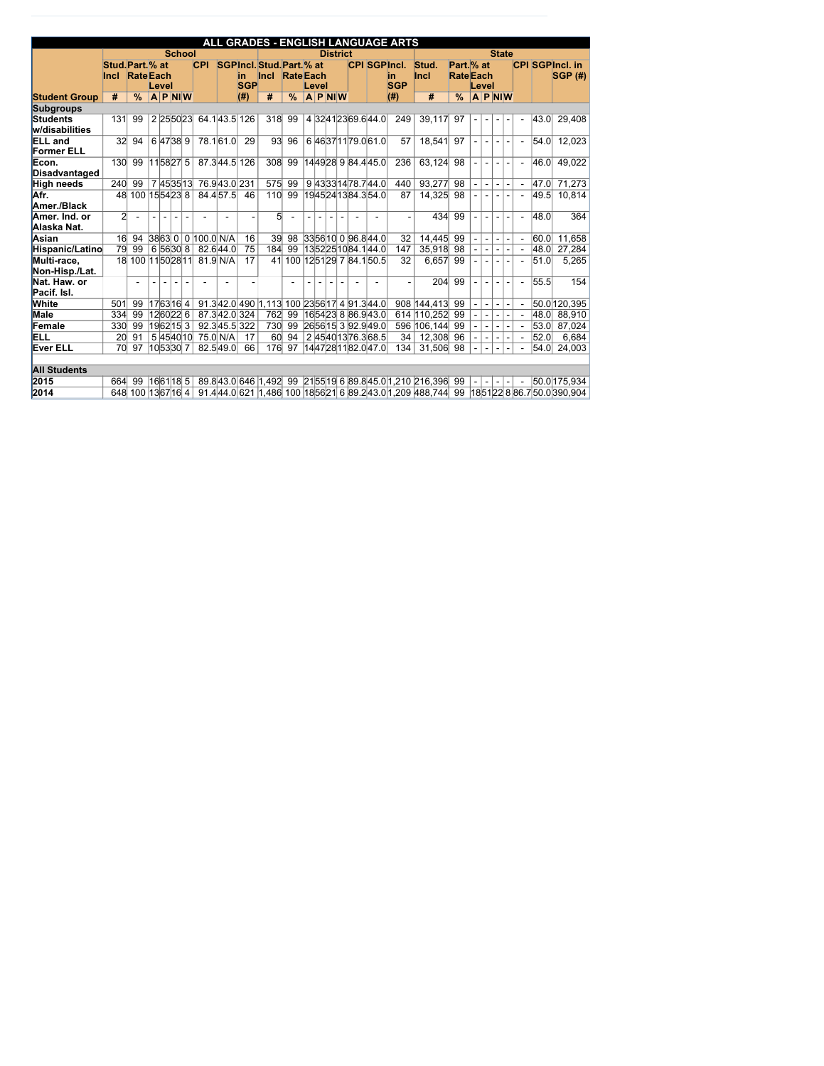|                                     |                                 |                    |                |           |                |                |                        |                |                 |                                          |                 |                |        |                 |  |                              | ALL GRADES - ENGLISH LANGUAGE ARTS |                                                                                     |                               |                |                |                |                |                          |      |                                          |
|-------------------------------------|---------------------------------|--------------------|----------------|-----------|----------------|----------------|------------------------|----------------|-----------------|------------------------------------------|-----------------|----------------|--------|-----------------|--|------------------------------|------------------------------------|-------------------------------------------------------------------------------------|-------------------------------|----------------|----------------|----------------|----------------|--------------------------|------|------------------------------------------|
|                                     |                                 |                    |                |           |                | <b>School</b>  |                        |                |                 |                                          |                 |                |        | <b>District</b> |  |                              |                                    |                                                                                     |                               |                |                |                | <b>State</b>   |                          |      |                                          |
|                                     | Stud. Part. % at<br><b>Incl</b> | <b>Rate</b> Each   |                |           |                |                | <b>CPI</b>             |                | in.             | SGPIncl. Stud. Part. % at<br>$ $ Incl    | <b>RateEach</b> |                |        |                 |  |                              | <b>CPI SGPIncl.</b><br>in          | Stud.<br><b>Incl</b>                                                                | Part. % at<br><b>RateEach</b> |                |                |                |                |                          |      | <b>CPI SGPIncl. in</b><br><b>SGP (#)</b> |
|                                     |                                 |                    |                | Level     |                |                |                        |                | <b>SGP</b>      |                                          |                 |                | Level  |                 |  |                              | <b>SGP</b>                         |                                                                                     |                               |                | Level          |                |                |                          |      |                                          |
| <b>Student Group</b>                | #                               | $\frac{0}{0}$      |                | $A$ P NIW |                |                |                        |                | $\parallel$ (#) | #                                        | $\frac{9}{6}$   |                |        | $A$ P NIW       |  |                              | $(\#)$                             | #                                                                                   | $\frac{9}{6}$                 |                |                |                | <b>APNIW</b>   |                          |      |                                          |
| <b>Subgroups</b>                    |                                 |                    |                |           |                |                |                        |                |                 |                                          |                 |                |        |                 |  |                              |                                    |                                                                                     |                               |                |                |                |                |                          |      |                                          |
| Students<br>w/disabilities          | 131                             | 99                 |                |           |                | 2 25 50 23     | 64.143.5126            |                |                 | 318                                      | 99              |                |        |                 |  | 4 3241 23 69 6 44 0          | 249                                | 39,117                                                                              | 97                            |                |                |                |                |                          | 43.0 | 29,408                                   |
| <b>ELL</b> and<br><b>Former ELL</b> | 32 <sup>2</sup>                 | 94                 |                | 6 47 38 9 |                |                | 78.161.0               |                | 29              | 93 <sub>1</sub>                          | 96              |                |        |                 |  | 6 46 37 11 79 0 61 0         | 57                                 | 18,541                                                                              | 97                            |                |                | $\blacksquare$ |                |                          | 54.0 | 12,023                                   |
| Econ.<br>Disadvantaged              | 130                             | 99                 |                | 115827 5  |                |                | $\overline{87.3}$ 44.5 |                | 126             | 308                                      | 99              |                |        |                 |  | 144928 9 84.4 45.0           | 236                                | 63,124                                                                              | 98                            | L,             | $\blacksquare$ | $\blacksquare$ |                |                          | 46.0 | 49,022                                   |
| <b>High needs</b>                   | 240                             | 99                 |                |           |                | 7 45 35 13     | 76.943.0231            |                |                 | 575                                      | 99              |                |        |                 |  | 9 43 33 14 78.7 44.0         | 440                                | 93,277                                                                              | 98                            |                | $\blacksquare$ | $\blacksquare$ |                |                          | 47.0 | 71,273                                   |
| Afr.                                | 48                              | 100 15 54 23 8     |                |           |                |                | 84.457.5               |                | 46              | 110                                      | 99              |                |        |                 |  | 19 45 24 13 84.3 54.0        | 87                                 | 14,325                                                                              | 98                            |                |                |                |                |                          | 49.5 | 10,814                                   |
| Amer./Black                         |                                 |                    |                |           |                |                |                        |                |                 |                                          |                 |                |        |                 |  |                              |                                    |                                                                                     |                               |                |                |                |                |                          |      |                                          |
| Amer. Ind. or<br>Alaska Nat.        | $\overline{2}$                  | $\blacksquare$     | $\blacksquare$ | $\sim$    | $\blacksquare$ | $\blacksquare$ |                        | $\blacksquare$ |                 | 5 <sup>1</sup>                           | $\blacksquare$  | $\blacksquare$ | $\sim$ | $\sim$          |  |                              |                                    | 434                                                                                 | 99                            | $\blacksquare$ | $\sim$         | $\blacksquare$ | $\sim$         |                          | 48.0 | 364                                      |
| Asian                               | 16                              | 94                 |                | 38630     |                |                | $ 0 $ 100.0 $ N/A$     |                | 16              | $39$                                     | 98              |                |        |                 |  | 33 56 10 0 96.8 44.0         | 32                                 | 14,445                                                                              | 99                            | $\blacksquare$ |                | $\blacksquare$ |                |                          | 0.06 | 11,658                                   |
| Hispanic/Latino                     | 79                              | 99                 |                | 6 56 30 8 |                |                | 82.644.0               |                | $\overline{75}$ | 184                                      | 99              |                |        |                 |  | 1352251084.144.0             | 147                                | 35,918                                                                              | 98                            |                |                | $\blacksquare$ | $\blacksquare$ |                          | 48.0 | 27,284                                   |
| Multi-race,<br>Non-Hisp./Lat.       |                                 | 18 100 11 50 28 11 |                |           |                |                | $81.9$ N/A             |                | 17              | 41                                       |                 |                |        |                 |  | 100 12 51 29 7 84.1 50.5     | 32                                 | 6,657                                                                               | 99                            |                | $\sim$         | $\sim$         | $\blacksquare$ | $\overline{\phantom{0}}$ | 51.0 | 5,265                                    |
| Nat. Haw. or<br>Pacif. Isl.         |                                 |                    |                |           |                |                |                        |                |                 |                                          |                 |                |        |                 |  |                              |                                    | 204                                                                                 | 99                            |                |                |                |                |                          | 55.5 | 154                                      |
| White                               | 501                             | 99                 |                | 176316 4  |                |                |                        |                |                 | 91.342.0490 1,113 100 2356 17 4 91.344.0 |                 |                |        |                 |  |                              |                                    | 908 144,413                                                                         | 99                            | $\blacksquare$ |                | $\blacksquare$ |                |                          |      | 50.0 120, 395                            |
| <b>Male</b>                         | 334                             | 99                 |                | 126022 6  |                |                | 87.342.0324            |                |                 | 762                                      | 99              |                |        |                 |  | 16 54 23  8  86.9 43.0       |                                    | 614 110,252                                                                         | 99                            |                | $\sim$         | $\blacksquare$ |                |                          | 48.0 | 88,910                                   |
| Female                              | 330                             | 99                 |                | 1962153   |                |                | 92.3 45.5 322          |                |                 | 730                                      | 99              |                |        |                 |  | $ 26 56 15 $ 3 $ 92.9 49.0 $ |                                    | 596 106,144                                                                         | 99                            |                |                | $\blacksquare$ |                |                          | 53.0 | 87,024                                   |
| ELL                                 | 20 <sup>°</sup>                 | 91                 |                |           |                | 5 45 40 10     | 75.0 N/A               |                | 17              | 60                                       | 94              |                |        |                 |  | 245401376.368.5              | 34                                 | 12,308                                                                              | 96                            |                |                | $\blacksquare$ |                |                          | 52.0 | 6,684                                    |
| <b>Ever ELL</b>                     | 70                              | 97                 |                | 1053307   |                |                | 82.549.0               |                | 66              | 176                                      | 97              |                |        |                 |  | 14 47 28 11 82.0 47.0        | 134                                | 31,506                                                                              | 98                            |                |                | $\blacksquare$ |                |                          | 54.0 | 24,003                                   |
| <b>All Students</b>                 |                                 |                    |                |           |                |                |                        |                |                 |                                          |                 |                |        |                 |  |                              |                                    |                                                                                     |                               |                |                |                |                |                          |      |                                          |
| 2015                                | 664                             | 99                 |                | 1661185   |                |                |                        |                |                 |                                          |                 |                |        |                 |  |                              |                                    | 89.843.0646 1.492 99 2155 19 6 89.845.0 1.210 216,396 99                            |                               |                |                | $\blacksquare$ |                |                          |      | 50.0 175,934                             |
| 2014                                |                                 |                    |                |           |                |                |                        |                |                 |                                          |                 |                |        |                 |  |                              |                                    | 648 100 1367 16 4   91.4 44.0 621 1.486 100 18 56 21 6 89.2 43.0 1, 209 488, 744 99 |                               |                |                |                |                |                          |      | 185122886.750.0390,904                   |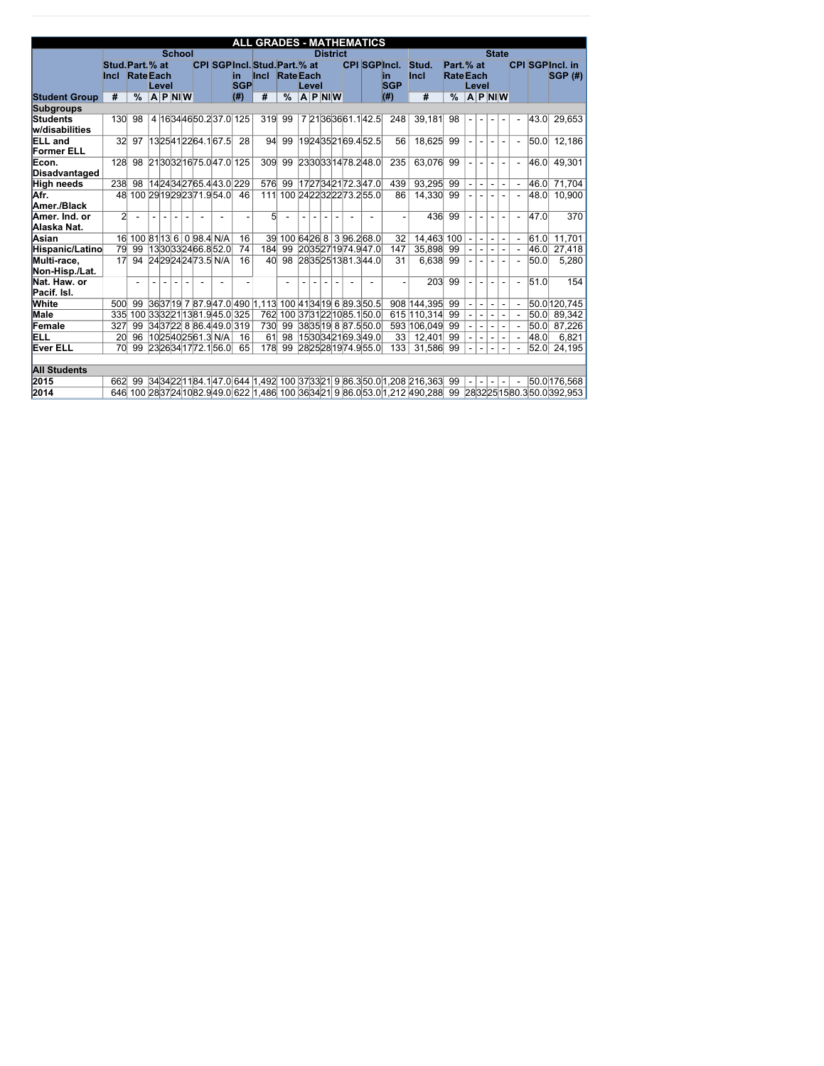|                                     |                  |                          |        |                  |        |               |                           |                            | <b>ALL GRADES - MATHEMATICS</b>                      |                               |              |                          |                  |  |                           |                     |                                                                   |                  |                          |                  |                          |                |      |                                                                                                             |
|-------------------------------------|------------------|--------------------------|--------|------------------|--------|---------------|---------------------------|----------------------------|------------------------------------------------------|-------------------------------|--------------|--------------------------|------------------|--|---------------------------|---------------------|-------------------------------------------------------------------|------------------|--------------------------|------------------|--------------------------|----------------|------|-------------------------------------------------------------------------------------------------------------|
|                                     |                  |                          |        |                  |        | <b>School</b> |                           |                            |                                                      |                               |              |                          | <b>District</b>  |  |                           |                     |                                                                   |                  |                          | <b>State</b>     |                          |                |      |                                                                                                             |
|                                     | Stud. Part. % at |                          |        |                  |        |               |                           |                            | <b>CPI SGPIncl. Stud. Part. % at</b>                 |                               |              |                          |                  |  |                           | <b>CPI SGPIncl.</b> | Stud.                                                             | Part. % at       |                          |                  |                          |                |      | <b>CPI SGPIncl. in</b>                                                                                      |
|                                     | <b>Incl</b>      | <b>Rate</b> Each         |        |                  |        |               |                           | lin.                       | $ $ Incl                                             | <b>Rate</b> Each              |              |                          |                  |  |                           | lin                 | <b>Incl</b>                                                       | <b>Rate</b> Each |                          |                  |                          |                |      | SGP(H)                                                                                                      |
|                                     |                  |                          |        | Level            |        |               |                           | <b>SGP</b>                 |                                                      |                               |              | Level                    |                  |  |                           | <b>SGP</b>          |                                                                   |                  | Level                    |                  |                          |                |      |                                                                                                             |
| <b>Student Group</b>                | #                | $\frac{0}{0}$            |        | $ A P $ NI $ W $ |        |               |                           | (# )                       | #                                                    | $\frac{0}{0}$                 |              |                          | $ A P $ NI $ W $ |  |                           | (#)                 | #                                                                 | $\frac{0}{0}$    |                          | $ A P $ NI $ W $ |                          |                |      |                                                                                                             |
| <b>Subgroups</b>                    |                  |                          |        |                  |        |               |                           |                            |                                                      |                               |              |                          |                  |  |                           |                     |                                                                   |                  |                          |                  |                          |                |      |                                                                                                             |
| Students<br>w/disabilities          | 130              | 98                       |        |                  |        |               |                           | 4 16 34 46 50.2 37.0 125   | 319                                                  | 99                            |              |                          |                  |  | 7 21 36 36 61.1 42.5      | 248                 | 39,181                                                            | 98               |                          |                  |                          |                | 43.0 | 29,653                                                                                                      |
| <b>ELL</b> and<br><b>Former ELL</b> | 32 <sup>2</sup>  | 97                       |        |                  |        |               | 1325412264.167.5          | 28                         | 94                                                   | 99                            |              |                          |                  |  | 1924352169.452.5          | 56                  | 18,625 99                                                         |                  |                          |                  |                          |                | 50.0 | 12,186                                                                                                      |
| Econ.<br>Disadvantaged              | 128              | 98                       |        |                  |        |               | 2130321675.047.0125       |                            | 309                                                  | 99                            |              |                          |                  |  | 2330331478.248.0          | 235                 | 63,076 99                                                         |                  | $\blacksquare$           | $\blacksquare$   |                          | $\overline{a}$ | 46.0 | 49,301                                                                                                      |
| <b>High needs</b>                   | 238              | 98                       |        |                  |        |               | 14 24 34 27 65.4 43.0 229 |                            | 576                                                  | 99                            |              |                          |                  |  | 17 27 34 21 72.3 47.0     | 439                 | 93,295 99                                                         |                  |                          |                  |                          | $\blacksquare$ | 46.0 | 71,704                                                                                                      |
| Afr.                                | 48               |                          |        |                  |        |               | 100 29 19 29 23 71 9 54 0 | 46                         | 111                                                  |                               |              |                          |                  |  | 100 24 22 32 22 73.2 55.0 | 86                  | 14,330 99                                                         |                  |                          |                  |                          |                | 48.0 | 10,900                                                                                                      |
| Amer./Black                         |                  |                          |        |                  |        |               |                           |                            |                                                      |                               |              |                          |                  |  |                           |                     |                                                                   |                  |                          |                  |                          |                |      |                                                                                                             |
| Amer. Ind. or<br>Alaska Nat.        | $\overline{2}$   | $\blacksquare$           | $\sim$ | $\sim$           | $\sim$ |               |                           |                            | 5 <sup>1</sup>                                       |                               | $\mathbf{r}$ | $\sim$                   |                  |  |                           |                     | 436                                                               | 99               | $\sim$                   | $\sim$           |                          | $\overline{a}$ | 47.0 | 370                                                                                                         |
| Asian                               | 16               |                          |        |                  |        |               | 100 81 13 6 0 98.4 N/A    | 16                         | 39                                                   |                               |              |                          |                  |  | 100 64 26 8 3 96.2 68.0   | 32                  | 14,463 100                                                        |                  | $\blacksquare$           | $\blacksquare$   | $\blacksquare$           | $\blacksquare$ | 61.0 | 11,701                                                                                                      |
| Hispanic/Latino                     | 79               | 99                       |        |                  |        |               | 1330332466.852.0          | 74                         | 184                                                  | 99                            |              |                          |                  |  | 2035271974.947.0          | 147                 | 35,898 99                                                         |                  | $\blacksquare$           | $\blacksquare$   | $\overline{\phantom{a}}$ | $\overline{a}$ | 46.0 | 27,418                                                                                                      |
| Multi-race,                         | 17               | 94                       |        |                  |        |               | 2429242473.5 N/A          | 16                         | 40 <sup>l</sup>                                      | 98                            |              |                          |                  |  | 2835251381.344.0          | 31                  | 6,638 99                                                          |                  |                          | $\blacksquare$   |                          | $\overline{a}$ | 50.0 | 5,280                                                                                                       |
| Non-Hisp./Lat.                      |                  |                          |        |                  |        |               |                           |                            |                                                      |                               |              |                          |                  |  |                           |                     |                                                                   |                  |                          |                  |                          |                |      |                                                                                                             |
| Nat. Haw. or                        |                  | $\overline{\phantom{0}}$ |        |                  |        |               |                           |                            |                                                      |                               |              | $\overline{\phantom{a}}$ |                  |  |                           |                     | 203                                                               | 99               |                          |                  |                          |                | 51.0 | 154                                                                                                         |
| Pacif. Isl.                         |                  |                          |        |                  |        |               |                           |                            |                                                      |                               |              |                          |                  |  |                           |                     |                                                                   |                  |                          |                  |                          |                |      |                                                                                                             |
| <b>White</b>                        | 500              | 99                       |        |                  |        |               |                           |                            | 363719 7 87.947.0 490 1,113 100 41 34 19 6 89.3 50.5 |                               |              |                          |                  |  |                           |                     | 908 144,395 99                                                    |                  | $\blacksquare$           | $\blacksquare$   | $\blacksquare$           | $\blacksquare$ |      | 50.0 120,745                                                                                                |
| <b>Male</b>                         | 335              |                          |        |                  |        |               |                           | 100 333221 1381.9 45.0 325 |                                                      | 762 100 37 31 22 10 85.1 50.0 |              |                          |                  |  |                           |                     | 615 110,314 99                                                    |                  | $\blacksquare$           | $\blacksquare$   |                          |                |      | $50.0$ 89,342                                                                                               |
| Female                              | 327              | 99                       |        |                  |        |               |                           | 34 37 22 8 86.4 49.0 319   | 730                                                  | 99                            |              |                          |                  |  | 38 35 19 8 87.5 50.0      |                     | 593 106,049 99                                                    |                  |                          | $\blacksquare$   |                          |                |      | $ 50.0 $ 87,226                                                                                             |
| ELL                                 | 20 <sup>°</sup>  | 96                       |        |                  |        |               | 1025402561.3 N/A          | 16                         | 61                                                   | 98                            |              |                          |                  |  | 15 30 34 21 69.3 49.0     | 33                  | 12,401                                                            | 99               |                          |                  |                          |                | 48.0 | 6,821                                                                                                       |
| <b>Ever ELL</b>                     | 70               | 99                       |        |                  |        |               | 23 26 34 17 72.1 56.0     | 65                         |                                                      | 178 99                        |              |                          |                  |  | 2825281974.955.0          | 133                 | 31,586 99                                                         |                  | $\overline{\phantom{a}}$ |                  |                          |                |      | $ 52.0 $ 24,195                                                                                             |
| <b>All Students</b>                 |                  |                          |        |                  |        |               |                           |                            |                                                      |                               |              |                          |                  |  |                           |                     |                                                                   |                  |                          |                  |                          |                |      |                                                                                                             |
| 2015                                | 662              | 99                       |        |                  |        |               |                           |                            |                                                      |                               |              |                          |                  |  |                           |                     | 3434221184.147.0644 1,492 100 373321 9 86.3 50.0 1,208 216,363 99 |                  |                          |                  |                          |                |      | 50.0 176,568                                                                                                |
| 2014                                |                  |                          |        |                  |        |               |                           |                            |                                                      |                               |              |                          |                  |  |                           |                     |                                                                   |                  |                          |                  |                          |                |      | 646 100 283724 1082.9 49.0 622 1,486 100 3634 21 9 86.0 53.0 1,212 490,288 99 28 32 25 15 80.3 50.0 392,953 |
|                                     |                  |                          |        |                  |        |               |                           |                            |                                                      |                               |              |                          |                  |  |                           |                     |                                                                   |                  |                          |                  |                          |                |      |                                                                                                             |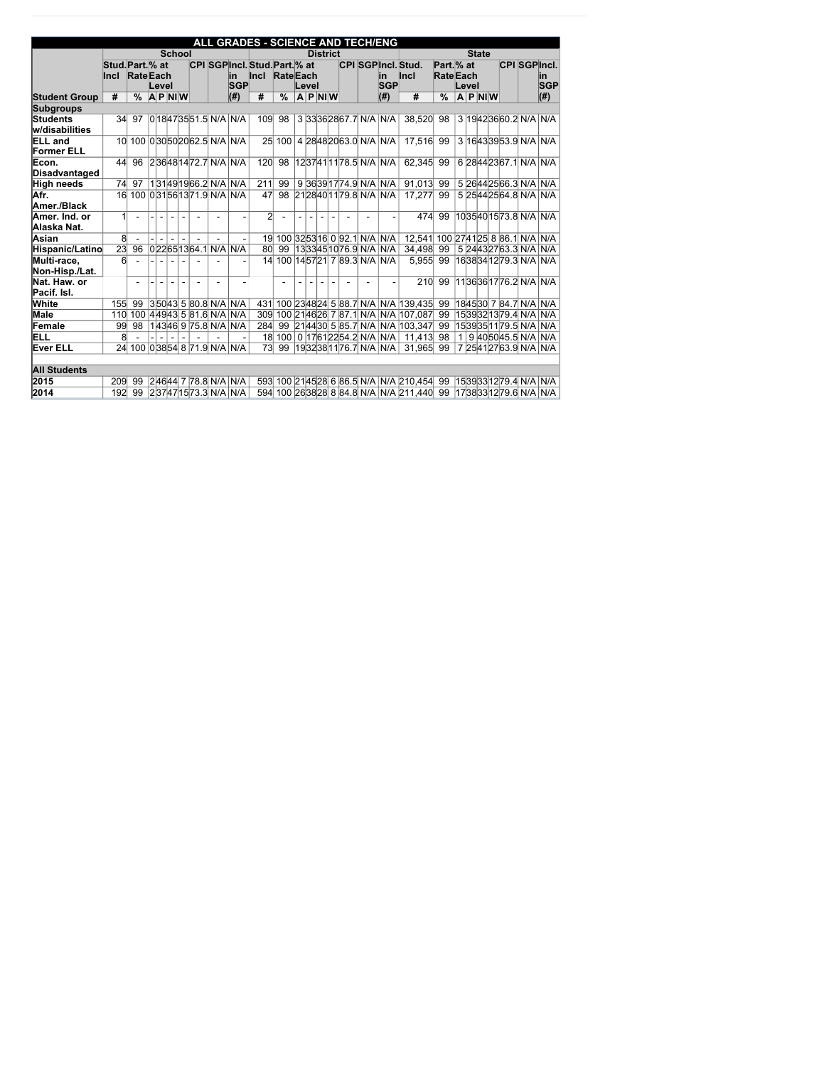|                      |                  |                                |                |                            |  |                          | ALL GRADES - SCIENCE AND TECH/ENG |                  |           |                 |  |                                |                                            |                 |              |       |              |  |                             |                            |
|----------------------|------------------|--------------------------------|----------------|----------------------------|--|--------------------------|-----------------------------------|------------------|-----------|-----------------|--|--------------------------------|--------------------------------------------|-----------------|--------------|-------|--------------|--|-----------------------------|----------------------------|
|                      |                  |                                |                | <b>School</b>              |  |                          |                                   |                  |           | <b>District</b> |  |                                |                                            |                 |              |       | <b>State</b> |  |                             |                            |
|                      | Stud. Part. % at |                                |                |                            |  |                          | CPI SGPIncl. Stud. Part. % at     |                  |           |                 |  |                                | <b>CPI SGPIncl. Stud.</b>                  | Part.% at       |              |       |              |  |                             | <b>CPI SGPIncl.</b>        |
|                      | <b>Incl</b>      | <b>Rate</b> Each               |                |                            |  | lin.                     | $ $ lnc $ $                       | <b>Rate</b> Each |           |                 |  | lin                            | $ $ lnc $ $                                | <b>RateEach</b> |              |       |              |  |                             | in                         |
|                      |                  |                                | Level          |                            |  | <b>SGP</b>               |                                   |                  | Level     |                 |  | <b>SGP</b>                     |                                            |                 |              | Level |              |  |                             | <b>SGP</b>                 |
| <b>Student Group</b> | #                | $\frac{0}{0}$                  |                | $A$ P NIW                  |  | $(\#)$                   | #                                 | $\frac{0}{0}$    | $A$ P NIW |                 |  | (# )                           | #                                          | $\frac{0}{0}$   |              |       | $A$ P NIW    |  |                             | (H)                        |
| <b>Subgroups</b>     |                  |                                |                |                            |  |                          |                                   |                  |           |                 |  |                                |                                            |                 |              |       |              |  |                             |                            |
| Students             | 34               | 97                             |                |                            |  | $ 0 $ 18473551.5 N/A N/A | 109                               | 98               |           |                 |  | 3 33362867.7 N/A N/A           | 38,520                                     | 98              |              |       |              |  | 3 19 42 36 60.2 N/A N/A     |                            |
| w/disabilities       |                  |                                |                |                            |  |                          |                                   |                  |           |                 |  |                                |                                            |                 |              |       |              |  |                             |                            |
| <b>ELL</b> and       | 10 <sup>l</sup>  |                                |                | 100 030 50 20 62.5 N/A N/A |  |                          |                                   | 25 100           |           |                 |  | 4 28 48 20 63.0 N/A N/A        | 17,516                                     | 99              |              |       |              |  | 3 16 43 39 53.9 N/A N/A     |                            |
| <b>Former ELL</b>    |                  |                                |                |                            |  |                          |                                   |                  |           |                 |  |                                |                                            |                 |              |       |              |  |                             |                            |
| Econ.                | 44               | 96                             |                | 236481472.7 N/A N/A        |  |                          | 120                               | 98               |           |                 |  | 1237411178.5 N/A N/A           | 62,345                                     | 99              |              |       |              |  | 6 28 44 23 67.1 N/A N/A     |                            |
| Disadvantaged        |                  |                                |                |                            |  |                          |                                   |                  |           |                 |  |                                |                                            |                 |              |       |              |  |                             |                            |
| <b>High needs</b>    | 74               | 97                             |                |                            |  | 131491966.2 N/A N/A      | 211                               | 99               |           |                 |  | 9 36 39 17 74.9 N/A N/A        | 91,013                                     | 99              |              |       |              |  |                             | 5 26 44 25 66.3 N/A N/A    |
| Afr.                 |                  | 16 100 0 31 56 13 71.9 N/A N/A |                |                            |  |                          | 47                                | 98               |           |                 |  | 2128401179.8 N/A N/A           | 17,277                                     | 99              |              |       |              |  | 5 25 44 25 64.8 N/A N/A     |                            |
| Amer./Black          |                  |                                |                |                            |  |                          |                                   |                  |           |                 |  |                                |                                            |                 |              |       |              |  |                             |                            |
| Amer. Ind. or        | 1                |                                | $\overline{a}$ | $\sim$                     |  |                          | $\overline{2}$                    |                  |           | $\overline{a}$  |  |                                | 474                                        | 99              |              |       |              |  | 1035401573.8 N/A N/A        |                            |
| Alaska Nat.          |                  |                                |                |                            |  |                          |                                   |                  |           |                 |  |                                |                                            |                 |              |       |              |  |                             |                            |
| Asian                | 8 <sup>0</sup>   |                                |                | $\blacksquare$             |  |                          | 19 <sup>°</sup>                   |                  |           |                 |  | 100 32 53 16 0 92.1 N/A N/A    | 12,541                                     |                 |              |       |              |  |                             | 100 2741 25 8 86.1 N/A N/A |
| Hispanic/Latino      | $\overline{23}$  | 96                             |                | 022651364.1 N/A N/A        |  |                          | 80 <sup>°</sup>                   | 99               |           |                 |  | 1333451076.9 N/A N/A           | 34,498                                     | 99              |              |       |              |  |                             | 5 24 43 27 63.3 N/A N/A    |
| Multi-race,          | $6 \times$       |                                |                |                            |  |                          | 14                                |                  |           |                 |  | 100 14 57 21 7 89.3 N/A N/A    | 5,955                                      | 99              |              |       |              |  |                             | 1638341279.3 N/A N/A       |
| Non-Hisp./Lat.       |                  |                                |                |                            |  |                          |                                   |                  |           |                 |  |                                |                                            |                 |              |       |              |  |                             |                            |
| Nat. Haw. or         |                  | $\overline{a}$                 |                |                            |  |                          |                                   |                  |           |                 |  |                                | 210                                        | 99              |              |       |              |  | 1136361776.2 N/A N/A        |                            |
| Pacif. Isl.          |                  |                                |                |                            |  |                          |                                   |                  |           |                 |  |                                |                                            |                 |              |       |              |  |                             |                            |
| <b>White</b>         | 155              | 99                             |                | 35043 5 80.8 N/A N/A       |  |                          | 431                               |                  |           |                 |  |                                | 100 2348 24 5 88.7 N/A N/A 139,435         | 99              |              |       |              |  | 184530 7 84.7 N/A N/A       |                            |
| <b>Male</b>          | 110              | 100                            |                |                            |  | 44943 5 81.6 N/A N/A     | 309                               |                  |           |                 |  |                                | 100 2146 26 7 87.1 N/A N/A 107,087         | 99              |              |       |              |  |                             | 1539321379.4 N/A N/A       |
| Female               | 99               | 98                             |                |                            |  | 143469975.8N/ANNA        | 284                               |                  |           |                 |  |                                | 99 214430 5 85.7 N/A N/A 103,347           | 99              |              |       |              |  | 15 39 35 11 79.5  N/A   N/A |                            |
| ELL                  | 8 <sup>°</sup>   |                                |                | $\frac{1}{2}$              |  |                          |                                   |                  |           |                 |  | 18 100 0 17 61 22 54.2 N/A N/A | 11,413                                     | 98              | $\mathbf{1}$ |       |              |  |                             | 9 40 50 45.5 N/A N/A       |
| <b>Ever ELL</b>      | 24               |                                |                |                            |  | 100 03854 8 71.9 N/A N/A | 73                                | 99               |           |                 |  | 19 32 38 11 76.7 N/A N/A       | 31,965                                     | 99              |              |       |              |  |                             | 7 2541 27 63.9 N/A N/A     |
|                      |                  |                                |                |                            |  |                          |                                   |                  |           |                 |  |                                |                                            |                 |              |       |              |  |                             |                            |
| <b>All Students</b>  |                  |                                |                |                            |  |                          |                                   |                  |           |                 |  |                                |                                            |                 |              |       |              |  |                             |                            |
| 2015                 | 209              | 99                             |                |                            |  | 24644 7 78.8 N/A N/A     |                                   |                  |           |                 |  |                                | 593 100 2145 28 6 86.5 N/A N/A 210,454     | 99              |              |       |              |  |                             | 1539331279.4 N/A N/A       |
| 2014                 | 192              | 99                             |                | 237471573.3 N/A N/A        |  |                          |                                   |                  |           |                 |  |                                | 594 100 26 38 28 8 84.8 N/A N/A 211,440 99 |                 |              |       |              |  |                             | 1738331279.6 N/A N/A       |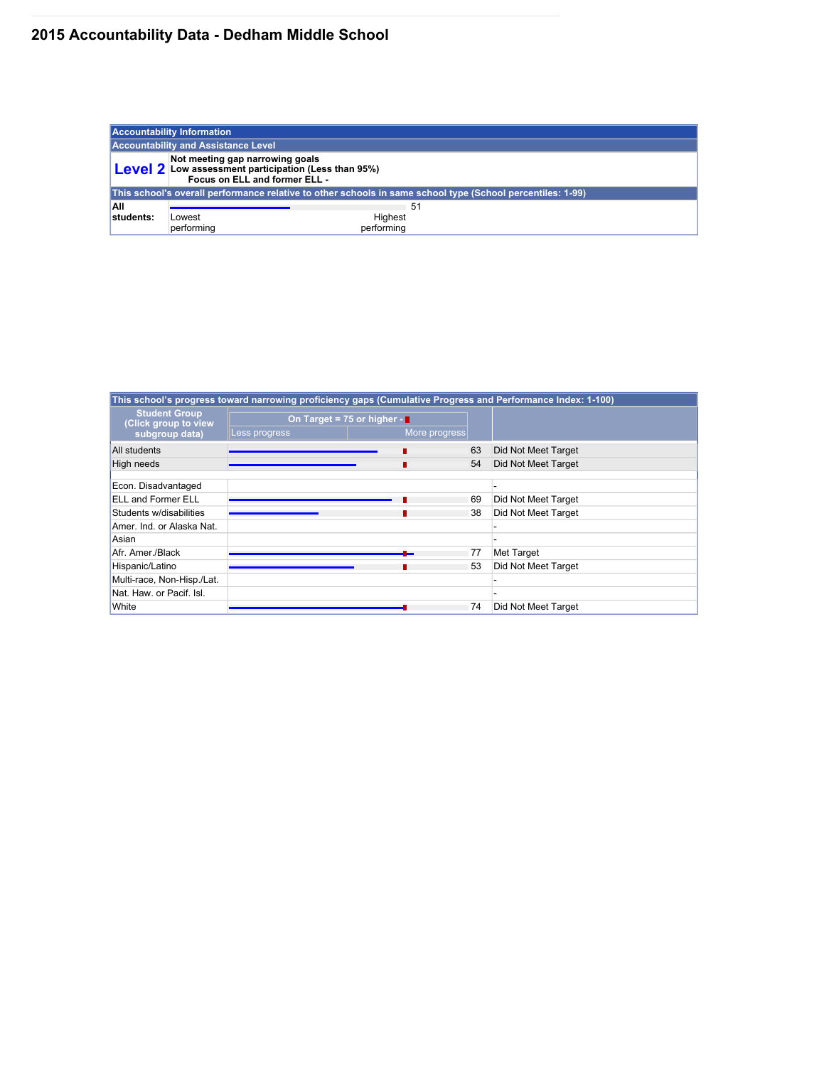# **2015 Accountability Data - Dedham Middle School**

|            | <b>Accountability Information</b>                                                                                               |                                                                                                            |
|------------|---------------------------------------------------------------------------------------------------------------------------------|------------------------------------------------------------------------------------------------------------|
|            | <b>Accountability and Assistance Level</b>                                                                                      |                                                                                                            |
|            | Not meeting gap narrowing goals<br><b>Level 2</b> Low assessment participation (Less than 95%)<br>Focus on ELL and former ELL - |                                                                                                            |
|            |                                                                                                                                 | This school's overall performance relative to other schools in same school type (School percentiles: 1-99) |
| <b>AII</b> |                                                                                                                                 | -51                                                                                                        |
| students:  | Lowest                                                                                                                          | Highest                                                                                                    |
|            | performing                                                                                                                      | performing                                                                                                 |

|                                                                |               | This school's progress toward narrowing proficiency gaps (Cumulative Progress and Performance Index: 1-100) |    |                     |
|----------------------------------------------------------------|---------------|-------------------------------------------------------------------------------------------------------------|----|---------------------|
| <b>Student Group</b><br>(Click group to view<br>subgroup data) | Less progress | On Target = 75 or higher -<br>More progress                                                                 |    |                     |
| All students                                                   |               |                                                                                                             | 63 | Did Not Meet Target |
| High needs                                                     |               |                                                                                                             | 54 | Did Not Meet Target |
| Econ. Disadvantaged                                            |               |                                                                                                             |    |                     |
| <b>ELL and Former ELL</b>                                      |               |                                                                                                             | 69 | Did Not Meet Target |
| Students w/disabilities                                        |               |                                                                                                             | 38 | Did Not Meet Target |
| Amer. Ind. or Alaska Nat.                                      |               |                                                                                                             |    |                     |
| Asian                                                          |               |                                                                                                             |    |                     |
| Afr. Amer./Black                                               |               |                                                                                                             | 77 | Met Target          |
| Hispanic/Latino                                                |               |                                                                                                             | 53 | Did Not Meet Target |
| Multi-race, Non-Hisp./Lat.                                     |               |                                                                                                             |    |                     |
| Nat. Haw. or Pacif. Isl.                                       |               |                                                                                                             |    |                     |
| White                                                          |               |                                                                                                             | 74 | Did Not Meet Target |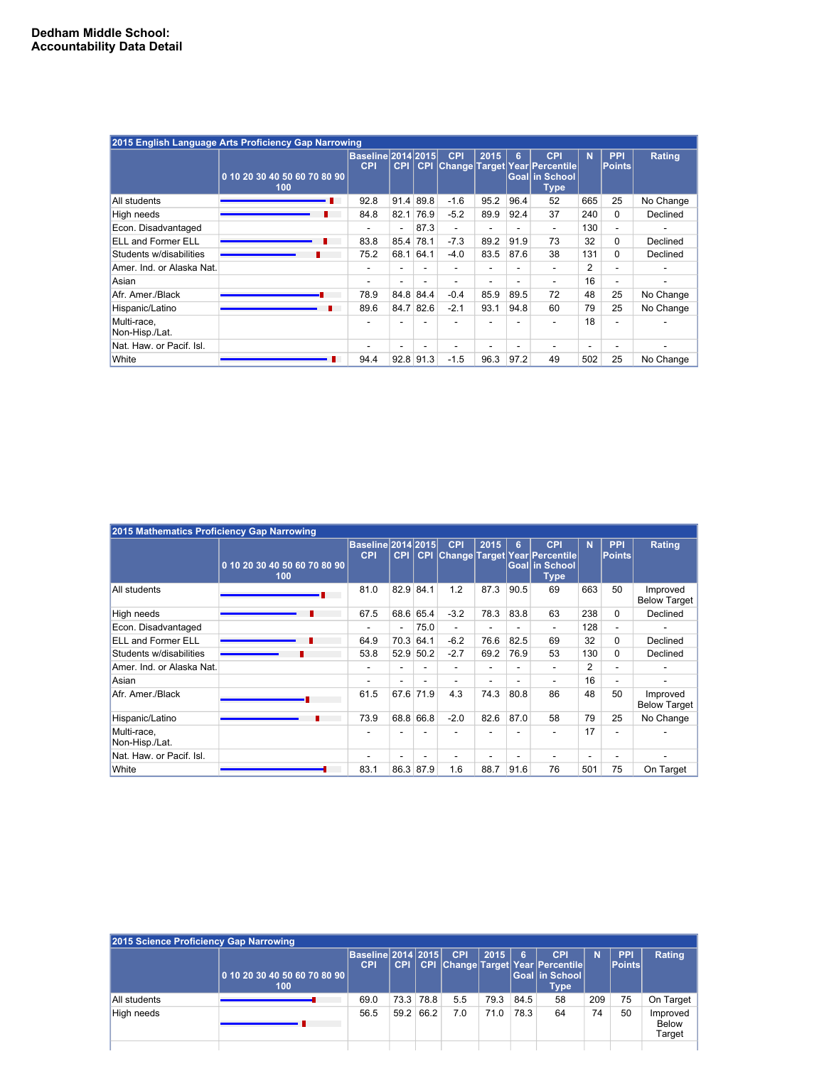|                               | 2015 English Language Arts Proficiency Gap Narrowing |                                   |                          |                          |                          |                          |                          |                                                               |                |                             |               |
|-------------------------------|------------------------------------------------------|-----------------------------------|--------------------------|--------------------------|--------------------------|--------------------------|--------------------------|---------------------------------------------------------------|----------------|-----------------------------|---------------|
|                               | 0 10 20 30 40 50 60 70 80 90                         | Baseline 2014 2015 <br><b>CPI</b> | <b>CPI</b>               | <b>CPI</b>               | <b>CPI</b>               | 2015                     | 6                        | <b>CPI</b><br>Change Target Year Percentile<br>Goal in School | <b>N</b>       | <b>PPI</b><br><b>Points</b> | <b>Rating</b> |
|                               | 100                                                  |                                   |                          |                          |                          |                          |                          | <b>Type</b>                                                   |                |                             |               |
| All students                  |                                                      | 92.8                              | 91.4                     | 89.8                     | $-1.6$                   | 95.2                     | 96.4                     | 52                                                            | 665            | 25                          | No Change     |
| High needs                    |                                                      | 84.8                              | 82.1                     | 76.9                     | $-5.2$                   | 89.9                     | 92.4                     | 37                                                            | 240            | $\mathbf 0$                 | Declined      |
| Econ. Disadvantaged           |                                                      |                                   | $\overline{\phantom{0}}$ | 87.3                     | $\overline{\phantom{a}}$ | $\overline{\phantom{a}}$ |                          | $\overline{\phantom{a}}$                                      | 130            | $\overline{\phantom{a}}$    |               |
| <b>ELL and Former ELL</b>     |                                                      | 83.8                              | 85.4                     | 78.1                     | $-7.3$                   | 89.2                     | 91.9                     | 73                                                            | 32             | $\mathbf 0$                 | Declined      |
| Students w/disabilities       |                                                      | 75.2                              | 68.1                     | 64.1                     | $-4.0$                   | 83.5                     | 87.6                     | 38                                                            | 131            | $\mathbf 0$                 | Declined      |
| Amer. Ind. or Alaska Nat.     |                                                      |                                   | $\overline{\phantom{0}}$ | $\overline{\phantom{0}}$ |                          | $\overline{\phantom{0}}$ | $\overline{\phantom{0}}$ |                                                               | $\overline{2}$ | $\overline{\phantom{a}}$    |               |
| Asian                         |                                                      |                                   |                          |                          |                          | -                        |                          | $\overline{\phantom{0}}$                                      | 16             | $\overline{\phantom{a}}$    |               |
| Afr. Amer./Black              |                                                      | 78.9                              | 84.8                     | 84.4                     | $-0.4$                   | 85.9                     | 89.5                     | 72                                                            | 48             | 25                          | No Change     |
| Hispanic/Latino               |                                                      | 89.6                              | 84.7                     | 82.6                     | $-2.1$                   | 93.1                     | 94.8                     | 60                                                            | 79             | 25                          | No Change     |
| Multi-race,<br>Non-Hisp./Lat. |                                                      |                                   |                          |                          |                          |                          |                          |                                                               | 18             |                             |               |
| Nat. Haw. or Pacif. Isl.      |                                                      |                                   |                          |                          |                          | -                        |                          |                                                               |                |                             |               |
| White                         |                                                      | 94.4                              |                          | $92.8$ 91.3              | $-1.5$                   | 96.3                     | 97.2                     | 49                                                            | 502            | 25                          | No Change     |

| 2015 Mathematics Proficiency Gap Narrowing |                                     |                                         |                          |             |            |      |                          |                                                                                     |                          |                             |                                 |
|--------------------------------------------|-------------------------------------|-----------------------------------------|--------------------------|-------------|------------|------|--------------------------|-------------------------------------------------------------------------------------|--------------------------|-----------------------------|---------------------------------|
|                                            | 0 10 20 30 40 50 60 70 80 90<br>100 | <b>Baseline 2014 2015</b><br><b>CPI</b> | <b>CPI</b>               | <b>CPI</b>  | <b>CPI</b> | 2015 | 6                        | <b>CPI</b><br><b>Change Target Year Percentile</b><br>Goal in School<br><b>Type</b> | <b>N</b>                 | <b>PPI</b><br><b>Points</b> | <b>Rating</b>                   |
| All students                               |                                     | 81.0                                    |                          | $82.9$ 84.1 | 1.2        | 87.3 | 90.5                     | 69                                                                                  | 663                      | 50                          | Improved<br><b>Below Target</b> |
| High needs                                 |                                     | 67.5                                    | 68.6                     | 65.4        | $-3.2$     | 78.3 | 83.8                     | 63                                                                                  | 238                      | $\mathbf{0}$                | Declined                        |
| Econ. Disadvantaged                        |                                     |                                         | $\overline{\phantom{a}}$ | 75.0        | ۰          |      |                          |                                                                                     | 128                      | $\overline{\phantom{a}}$    |                                 |
| <b>ELL and Former ELL</b>                  |                                     | 64.9                                    | 70.3                     | 64.1        | $-6.2$     | 76.6 | 82.5                     | 69                                                                                  | 32                       | $\Omega$                    | Declined                        |
| Students w/disabilities                    |                                     | 53.8                                    | 52.9                     | 50.2        | $-2.7$     | 69.2 | 76.9                     | 53                                                                                  | 130                      | $\mathbf{0}$                | Declined                        |
| Amer. Ind. or Alaska Nat.                  |                                     | $\overline{\phantom{0}}$                |                          |             | -          |      | $\overline{\phantom{0}}$ |                                                                                     | $\overline{2}$           | $\overline{\phantom{0}}$    |                                 |
| Asian                                      |                                     | $\overline{\phantom{0}}$                |                          | -           | -          |      | $\overline{\phantom{0}}$ |                                                                                     | 16                       | $\overline{\phantom{0}}$    |                                 |
| Afr. Amer./Black                           |                                     | 61.5                                    | 67.6                     | 71.9        | 4.3        | 74.3 | 80.8                     | 86                                                                                  | 48                       | 50                          | Improved<br><b>Below Target</b> |
| Hispanic/Latino                            |                                     | 73.9                                    | 68.8                     | 66.8        | $-2.0$     | 82.6 | 87.0                     | 58                                                                                  | 79                       | 25                          | No Change                       |
| Multi-race,<br>Non-Hisp./Lat.              |                                     |                                         |                          |             |            |      |                          |                                                                                     | 17                       |                             |                                 |
| Nat. Haw. or Pacif. Isl.                   |                                     |                                         |                          | -           | -          |      | $\blacksquare$           |                                                                                     | $\overline{\phantom{0}}$ | $\overline{\phantom{0}}$    |                                 |
| White                                      |                                     | 83.1                                    | 86.3                     | 87.9        | 1.6        | 88.7 | 91.6                     | 76                                                                                  | 501                      | 75                          | On Target                       |

| 2015 Science Proficiency Gap Narrowing |                                       |                                         |            |            |            |      |      |                                                                       |     |                                     |                                    |
|----------------------------------------|---------------------------------------|-----------------------------------------|------------|------------|------------|------|------|-----------------------------------------------------------------------|-----|-------------------------------------|------------------------------------|
|                                        | $0$ 10 20 30 40 50 60 70 80 90<br>100 | <b>Baseline 2014 2015</b><br><b>CPI</b> | <b>CPI</b> | <b>CPI</b> | <b>CPI</b> | 2015 |      | <b>CPI</b><br>Change Target Year Percentile<br>Goal in School<br>Type | N   | <b>PPI</b><br>$  \mathsf{Points}  $ | Rating                             |
| All students                           |                                       | 69.0                                    |            | 73.3 78.8  | 5.5        | 79.3 | 84.5 | 58                                                                    | 209 | 75                                  | On Target                          |
| High needs                             |                                       | 56.5                                    | 59.2       | 66.2       | 7.0        | 71.0 | 78.3 | 64                                                                    | 74  | 50                                  | Improved<br><b>Below</b><br>Target |
|                                        |                                       |                                         |            |            |            |      |      |                                                                       |     |                                     |                                    |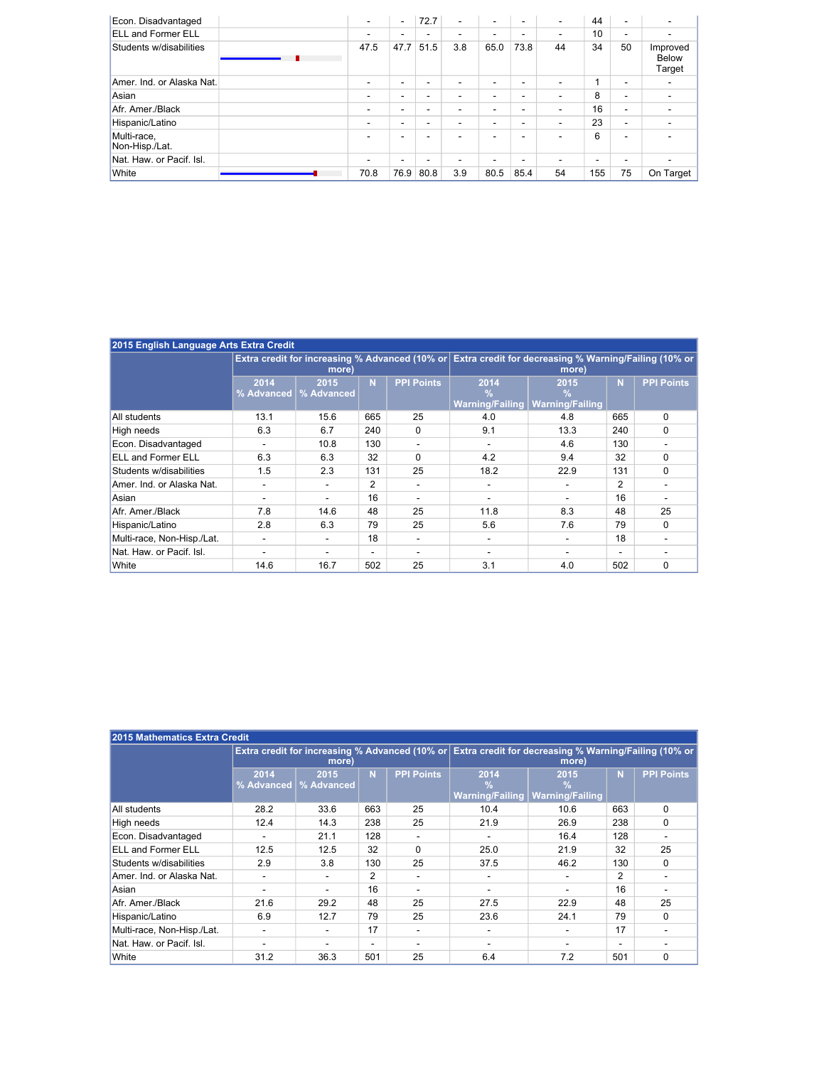| Econ. Disadvantaged           | $\overline{\phantom{a}}$ | $\blacksquare$           | 72.7                     | $\overline{\phantom{a}}$ | $\overline{\phantom{0}}$ | $\overline{\phantom{a}}$ | $\sim$                   | 44  | $\overline{\phantom{a}}$ |                                    |
|-------------------------------|--------------------------|--------------------------|--------------------------|--------------------------|--------------------------|--------------------------|--------------------------|-----|--------------------------|------------------------------------|
| <b>ELL and Former ELL</b>     |                          | -                        | $\overline{\phantom{a}}$ | -                        |                          | $\overline{\phantom{a}}$ | $\overline{\phantom{a}}$ | 10  | $\overline{\phantom{0}}$ |                                    |
| Students w/disabilities       | 47.5                     | 47.7                     | 51.5                     | 3.8                      | 65.0                     | 73.8                     | 44                       | 34  | 50                       | Improved<br><b>Below</b><br>Target |
| Amer. Ind. or Alaska Nat.     |                          | $\overline{\phantom{0}}$ | $\overline{\phantom{a}}$ | -                        |                          | $\overline{\phantom{a}}$ | -                        |     | $\overline{\phantom{a}}$ |                                    |
| Asian                         |                          | -                        | -                        | $\overline{\phantom{0}}$ |                          | $\overline{\phantom{0}}$ | -                        | 8   | $\overline{\phantom{0}}$ |                                    |
| Afr. Amer./Black              |                          | $\overline{\phantom{0}}$ | $\overline{\phantom{a}}$ | $\overline{\phantom{0}}$ |                          | $\overline{\phantom{0}}$ | $\overline{\phantom{a}}$ | 16  | $\overline{\phantom{0}}$ |                                    |
| Hispanic/Latino               |                          | -                        | $\overline{\phantom{a}}$ | $\overline{\phantom{0}}$ |                          | $\overline{\phantom{0}}$ | $\overline{\phantom{a}}$ | 23  | $\overline{\phantom{0}}$ |                                    |
| Multi-race,<br>Non-Hisp./Lat. |                          | -                        | -                        |                          |                          | $\overline{\phantom{0}}$ | -                        | 6   | $\overline{\phantom{0}}$ |                                    |
| Nat. Haw. or Pacif. Isl.      | $\overline{\phantom{0}}$ | -                        | $\overline{\phantom{a}}$ | $\overline{\phantom{0}}$ |                          | $\overline{\phantom{0}}$ | -                        | -   | $\overline{\phantom{0}}$ |                                    |
| White                         | 70.8                     | 76.9                     | 80.8                     | 3.9                      | 80.5                     | 85.4                     | 54                       | 155 | 75                       | On Target                          |

| 2015 English Language Arts Extra Credit |                    |                           |                          |                   |                                                                                                      |                                     |                |                   |
|-----------------------------------------|--------------------|---------------------------|--------------------------|-------------------|------------------------------------------------------------------------------------------------------|-------------------------------------|----------------|-------------------|
|                                         |                    | more)                     |                          |                   | Extra credit for increasing % Advanced (10% or Extra credit for decreasing % Warning/Failing (10% or | more)                               |                |                   |
|                                         | 2014<br>% Advanced | 2015<br><b>% Advanced</b> | N                        | <b>PPI Points</b> | 2014<br>$\frac{0}{0}$<br><b>Warning/Failing</b>                                                      | 2015<br>℅<br><b>Warning/Failing</b> | N <sub>1</sub> | <b>PPI Points</b> |
| All students                            | 13.1               | 15.6                      | 665                      | 25                | 4.0                                                                                                  | 4.8                                 | 665            | $\Omega$          |
| High needs                              | 6.3                | 6.7                       | 240                      | $\mathbf 0$       | 9.1                                                                                                  | 13.3                                | 240            | $\mathbf 0$       |
| Econ. Disadvantaged                     |                    | 10.8                      | 130                      |                   |                                                                                                      | 4.6                                 | 130            |                   |
| <b>ELL and Former ELL</b>               | 6.3                | 6.3                       | 32                       | $\mathbf{0}$      | 4.2                                                                                                  | 9.4                                 | 32             | $\mathbf 0$       |
| Students w/disabilities                 | 1.5                | 2.3                       | 131                      | 25                | 18.2                                                                                                 | 22.9                                | 131            | $\Omega$          |
| Amer. Ind. or Alaska Nat.               |                    |                           | 2                        |                   | $\overline{\phantom{0}}$                                                                             |                                     | $\overline{2}$ |                   |
| Asian                                   |                    |                           | 16                       |                   | ۰                                                                                                    |                                     | 16             |                   |
| Afr. Amer./Black                        | 7.8                | 14.6                      | 48                       | 25                | 11.8                                                                                                 | 8.3                                 | 48             | 25                |
| Hispanic/Latino                         | 2.8                | 6.3                       | 79                       | 25                | 5.6                                                                                                  | 7.6                                 | 79             | $\mathbf 0$       |
| Multi-race, Non-Hisp./Lat.              |                    |                           | 18                       |                   | -                                                                                                    |                                     | 18             |                   |
| Nat. Haw. or Pacif. Isl.                |                    |                           | $\overline{\phantom{0}}$ |                   | -                                                                                                    |                                     |                |                   |
| White                                   | 14.6               | 16.7                      | 502                      | 25                | 3.1                                                                                                  | 4.0                                 | 502            | 0                 |

| 2015 Mathematics Extra Credit |                    |                    |                          |                   |                                                                                                               |                                                 |                |                   |  |  |  |  |
|-------------------------------|--------------------|--------------------|--------------------------|-------------------|---------------------------------------------------------------------------------------------------------------|-------------------------------------------------|----------------|-------------------|--|--|--|--|
|                               |                    | more)              |                          |                   | Extra credit for increasing % Advanced (10% or Extra credit for decreasing % Warning/Failing (10% or<br>more) |                                                 |                |                   |  |  |  |  |
|                               | 2014<br>% Advanced | 2015<br>% Advanced | N                        | <b>PPI Points</b> | 2014<br>$\frac{0}{0}$<br><b>Warning/Failing</b>                                                               | 2015<br>$\frac{0}{0}$<br><b>Warning/Failing</b> | N              | <b>PPI Points</b> |  |  |  |  |
| All students                  | 28.2               | 33.6               | 663                      | 25                | 10.4                                                                                                          | 10.6                                            | 663            | $\Omega$          |  |  |  |  |
| High needs                    | 12.4               | 14.3               | 238                      | 25                | 21.9                                                                                                          | 26.9                                            | 238            | $\Omega$          |  |  |  |  |
| Econ. Disadvantaged           |                    | 21.1               | 128                      |                   |                                                                                                               | 16.4                                            | 128            |                   |  |  |  |  |
| <b>ELL and Former ELL</b>     | 12.5               | 12.5               | 32                       | $\mathbf{0}$      | 25.0                                                                                                          | 21.9                                            | 32             | 25                |  |  |  |  |
| Students w/disabilities       | 2.9                | 3.8                | 130                      | 25                | 37.5                                                                                                          | 46.2                                            | 130            | $\mathbf{0}$      |  |  |  |  |
| Amer. Ind. or Alaska Nat.     |                    |                    | 2                        |                   |                                                                                                               | -                                               | $\overline{2}$ |                   |  |  |  |  |
| Asian                         |                    |                    | 16                       |                   |                                                                                                               | $\overline{\phantom{0}}$                        | 16             |                   |  |  |  |  |
| Afr. Amer./Black              | 21.6               | 29.2               | 48                       | 25                | 27.5                                                                                                          | 22.9                                            | 48             | 25                |  |  |  |  |
| Hispanic/Latino               | 6.9                | 12.7               | 79                       | 25                | 23.6                                                                                                          | 24.1                                            | 79             | $\mathbf{0}$      |  |  |  |  |
| Multi-race, Non-Hisp./Lat.    |                    |                    | 17                       |                   |                                                                                                               | -                                               | 17             |                   |  |  |  |  |
| Nat. Haw. or Pacif. Isl.      |                    |                    | $\overline{\phantom{0}}$ |                   | ۰                                                                                                             | -                                               | ۰              |                   |  |  |  |  |
| White                         | 31.2               | 36.3               | 501                      | 25                | 6.4                                                                                                           | 7.2                                             | 501            | $\mathbf 0$       |  |  |  |  |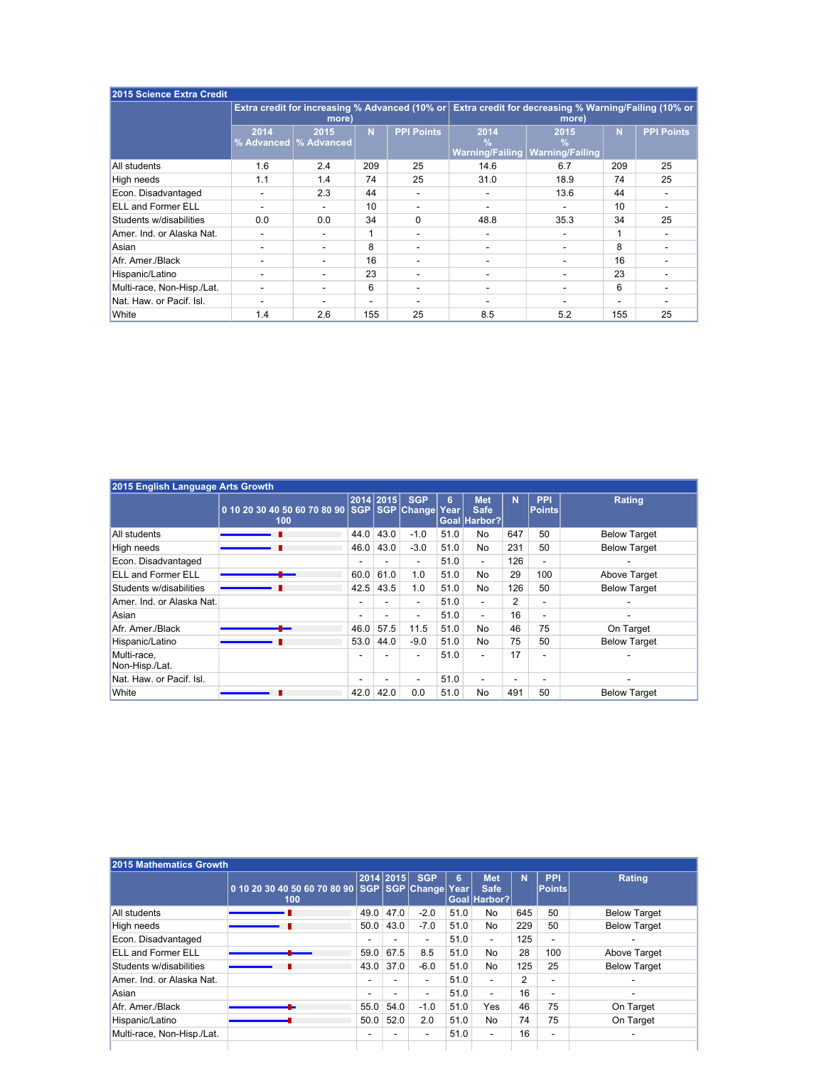| 2015 Science Extra Credit  |                          |                                 |                |                   |                       |                                                                                                               |          |                   |
|----------------------------|--------------------------|---------------------------------|----------------|-------------------|-----------------------|---------------------------------------------------------------------------------------------------------------|----------|-------------------|
|                            |                          | more)                           |                |                   |                       | Extra credit for increasing % Advanced (10% or Extra credit for decreasing % Warning/Failing (10% or<br>more) |          |                   |
|                            | 2014                     | 2015<br>% Advanced   % Advanced | N <sub>1</sub> | <b>PPI Points</b> | 2014<br>$\frac{9}{6}$ | 2015<br>$\frac{0}{0}$<br><b>Warning/Failing Warning/Failing</b>                                               | <b>N</b> | <b>PPI Points</b> |
| All students               | 1.6                      | 2.4                             | 209            | 25                | 14.6                  | 6.7                                                                                                           | 209      | 25                |
| High needs                 | 1.1                      | 1.4                             | 74             | 25                | 31.0                  | 18.9                                                                                                          | 74       | 25                |
| Econ. Disadvantaged        |                          | 2.3                             | 44             |                   |                       | 13.6                                                                                                          | 44       |                   |
| <b>ELL and Former ELL</b>  |                          |                                 | 10             |                   |                       |                                                                                                               | 10       |                   |
| Students w/disabilities    | 0.0                      | 0.0                             | 34             | $\mathbf{0}$      | 48.8                  | 35.3                                                                                                          | 34       | 25                |
| Amer. Ind. or Alaska Nat.  |                          |                                 | 1              |                   |                       |                                                                                                               |          |                   |
| Asian                      | -                        |                                 | 8              | -                 | -                     |                                                                                                               | 8        |                   |
| Afr. Amer./Black           |                          |                                 | 16             |                   |                       |                                                                                                               | 16       |                   |
| Hispanic/Latino            |                          |                                 | 23             |                   |                       |                                                                                                               | 23       |                   |
| Multi-race, Non-Hisp./Lat. | $\overline{\phantom{0}}$ |                                 | 6              | -                 |                       |                                                                                                               | 6        |                   |
| Nat. Haw. or Pacif. Isl.   |                          |                                 |                |                   |                       |                                                                                                               |          |                   |
| White                      | 1.4                      | 2.6                             | 155            | 25                | 8.5                   | 5.2                                                                                                           | 155      | 25                |

| 2015 English Language Arts Growth |                                                    |                          |                          |                          |                        |                                           |                          |                             |                     |
|-----------------------------------|----------------------------------------------------|--------------------------|--------------------------|--------------------------|------------------------|-------------------------------------------|--------------------------|-----------------------------|---------------------|
|                                   | 0 10 20 30 40 50 60 70 80 90 SGP SGP Change<br>100 |                          | 2014 2015                | <b>SGP</b>               | $6\phantom{a}$<br>Year | <b>Met</b><br><b>Safe</b><br>Goal Harbor? | <b>N</b>                 | <b>PPI</b><br><b>Points</b> | Rating              |
| All students                      |                                                    | 44.0                     | 43.0                     | $-1.0$                   | 51.0                   | No                                        | 647                      | 50                          | <b>Below Target</b> |
| High needs                        |                                                    | 46.0                     | 43.0                     | $-3.0$                   | 51.0                   | <b>No</b>                                 | 231                      | 50                          | <b>Below Target</b> |
| Econ. Disadvantaged               |                                                    | $\overline{\phantom{0}}$ | $\overline{\phantom{a}}$ | $\blacksquare$           | 51.0                   | $\overline{\phantom{a}}$                  | 126                      | $\blacksquare$              |                     |
| <b>ELL and Former ELL</b>         |                                                    | 60.0                     | 61.0                     | 1.0                      | 51.0                   | <b>No</b>                                 | 29                       | 100                         | Above Target        |
| Students w/disabilities           |                                                    | 42.5                     | 43.5                     | 1.0                      | 51.0                   | <b>No</b>                                 | 126                      | 50                          | <b>Below Target</b> |
| Amer. Ind. or Alaska Nat.         |                                                    | $\overline{\phantom{0}}$ |                          | $\overline{\phantom{a}}$ | 51.0                   | $\blacksquare$                            | 2                        | $\overline{\phantom{0}}$    |                     |
| Asian                             |                                                    | $\overline{\phantom{0}}$ | $\overline{\phantom{a}}$ | $\blacksquare$           | 51.0                   | $\overline{\phantom{a}}$                  | 16                       | $\overline{\phantom{a}}$    | -                   |
| Afr. Amer./Black                  |                                                    | 46.0                     | 57.5                     | 11.5                     | 51.0                   | <b>No</b>                                 | 46                       | 75                          | On Target           |
| Hispanic/Latino                   |                                                    | 53.0                     | 44.0                     | $-9.0$                   | 51.0                   | <b>No</b>                                 | 75                       | 50                          | <b>Below Target</b> |
| Multi-race,<br>Non-Hisp./Lat.     |                                                    | $\overline{\phantom{0}}$ |                          | $\blacksquare$           | 51.0                   | $\overline{\phantom{a}}$                  | 17                       | $\overline{\phantom{0}}$    |                     |
| Nat. Haw. or Pacif. Isl.          |                                                    | $\overline{\phantom{0}}$ |                          | $\overline{\phantom{a}}$ | 51.0                   | $\overline{\phantom{a}}$                  | $\overline{\phantom{a}}$ | $\overline{\phantom{0}}$    |                     |
| <b>White</b>                      |                                                    | 42.0                     | 42.0                     | 0.0                      | 51.0                   | <b>No</b>                                 | 491                      | 50                          | <b>Below Target</b> |

|                            | 0 10 20 30 40 50 60 70 80 90 SGP SGP Change Year<br>100 | $\vert$ 2014 $\vert$ 2015 $\vert$ |                          | <b>SGP</b>               | 6 <sup>1</sup> | <b>Met</b><br><b>Safe</b><br>Goal Harbor? | <b>N</b>       | <b>PPI</b><br>$  \mathsf{Points}  $ | Rating                   |
|----------------------------|---------------------------------------------------------|-----------------------------------|--------------------------|--------------------------|----------------|-------------------------------------------|----------------|-------------------------------------|--------------------------|
| All students               |                                                         | 49.0                              | 47.0                     | $-2.0$                   | 51.0           | No                                        | 645            | 50                                  | <b>Below Target</b>      |
| High needs                 |                                                         | 50.0                              | 43.0                     | $-7.0$                   | 51.0           | No                                        | 229            | 50                                  | <b>Below Target</b>      |
| Econ. Disadvantaged        |                                                         |                                   | $\sim$                   | $\overline{\phantom{a}}$ | 51.0           | $\sim$                                    | 125            | $\overline{\phantom{a}}$            |                          |
| <b>ELL and Former ELL</b>  |                                                         | 59.0                              | 67.5                     | 8.5                      | 51.0           | No                                        | 28             | 100                                 | Above Target             |
| Students w/disabilities    |                                                         | 43.0                              | 37.0                     | $-6.0$                   | 51.0           | No                                        | 125            | 25                                  | <b>Below Target</b>      |
| Amer. Ind. or Alaska Nat.  |                                                         | $\overline{\phantom{a}}$          | $\sim$                   | $\sim$                   | 51.0           | $\sim$                                    | $\overline{2}$ | $\overline{\phantom{a}}$            | $\overline{\phantom{0}}$ |
| Asian                      |                                                         |                                   | $\overline{\phantom{0}}$ |                          | 51.0           | $\sim$                                    | 16             | $\overline{\phantom{a}}$            |                          |
| Afr. Amer./Black           |                                                         | 55.0                              | 54.0                     | $-1.0$                   | 51.0           | Yes                                       | 46             | 75                                  | On Target                |
| Hispanic/Latino            |                                                         | 50.0                              | 52.0                     | 2.0                      | 51.0           | No                                        | 74             | 75                                  | On Target                |
| Multi-race, Non-Hisp./Lat. |                                                         | $\overline{\phantom{a}}$          | $\sim$                   | $\sim$                   | 51.0           | $\sim$                                    | 16             | $\sim$                              | $\overline{\phantom{0}}$ |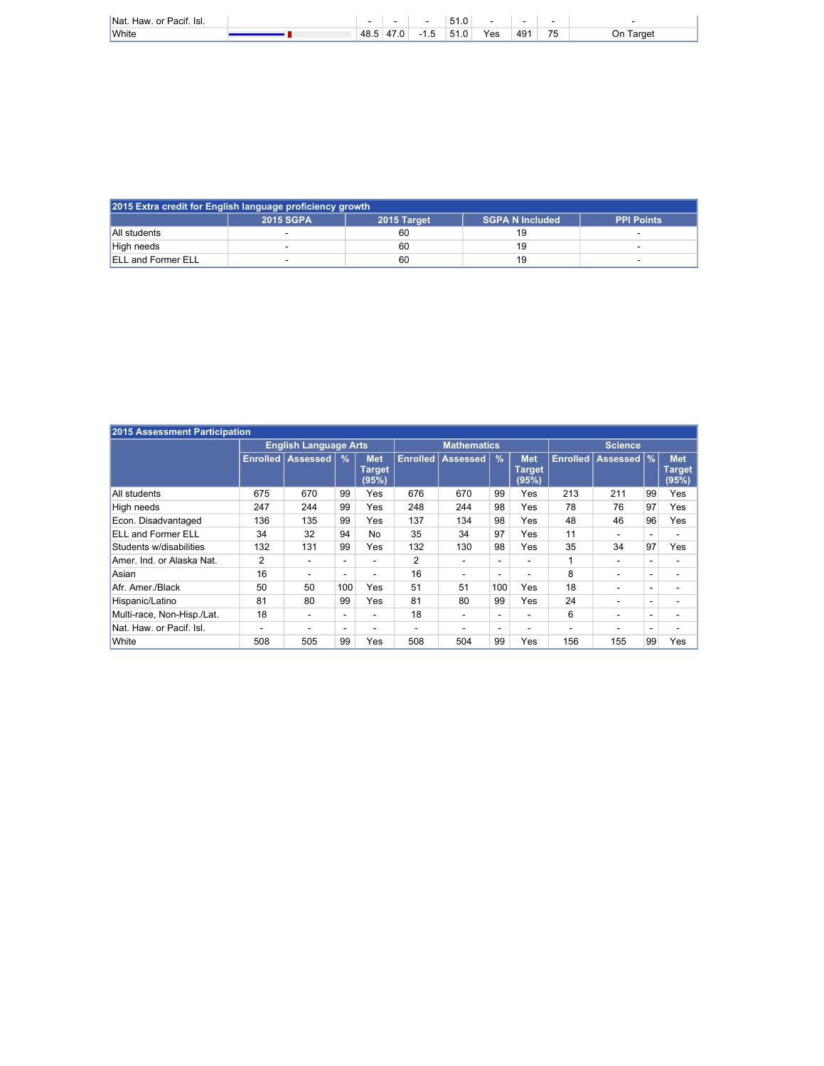| Nat<br>$\mathbf{F}$ is $\mathbf{F}$<br>Pacıt.<br>$\sim$ r<br>нам<br>w |        |                       |   | $\sim$ $\sim$<br><u>.</u> |     |                      |                                   |              |
|-----------------------------------------------------------------------|--------|-----------------------|---|---------------------------|-----|----------------------|-----------------------------------|--------------|
| White                                                                 | ່ 48.ບ | $\mathbf{a}$<br>68. U | - | F <sub>1</sub><br>ັ       | Yes | 49 <sup>4</sup><br>∼ | $\rightarrow$ $\rightarrow$<br>ъ. | ⊺arɑet<br>)n |

| 2015 Extra credit for English language proficiency growth |                  |             |                        |                   |  |  |  |  |  |  |  |
|-----------------------------------------------------------|------------------|-------------|------------------------|-------------------|--|--|--|--|--|--|--|
|                                                           | <b>2015 SGPA</b> | 2015 Target | <b>SGPA N Included</b> | <b>PPI Points</b> |  |  |  |  |  |  |  |
| All students                                              |                  | 60          |                        |                   |  |  |  |  |  |  |  |
| High needs                                                |                  | 60          | 19                     |                   |  |  |  |  |  |  |  |
| <b>ELL and Former ELL</b>                                 |                  | 60          | 19                     |                   |  |  |  |  |  |  |  |

| 2015 Assessment Participation |                |                              |                          |                                      |                 |                          |                          |                                      |                 |                          |                          |                               |
|-------------------------------|----------------|------------------------------|--------------------------|--------------------------------------|-----------------|--------------------------|--------------------------|--------------------------------------|-----------------|--------------------------|--------------------------|-------------------------------|
|                               |                | <b>English Language Arts</b> |                          | <b>Mathematics</b>                   |                 | <b>Science</b>           |                          |                                      |                 |                          |                          |                               |
|                               | Enrolled       | Assessed                     | $\frac{9}{6}$            | <b>Met</b><br><b>Target</b><br>(95%) | <b>Enrolled</b> | <b>Assessed</b>          | $\frac{9}{6}$            | <b>Met</b><br><b>Target</b><br>(95%) | <b>Enrolled</b> | <b>Assessed</b>          | $\frac{9}{6}$            | <b>Met</b><br>Target<br>(95%) |
| All students                  | 675            | 670                          | 99                       | Yes                                  | 676             | 670                      | 99                       | Yes                                  | 213             | 211                      | 99                       | Yes                           |
| High needs                    | 247            | 244                          | 99                       | Yes                                  | 248             | 244                      | 98                       | <b>Yes</b>                           | 78              | 76                       | 97                       | Yes                           |
| Econ. Disadvantaged           | 136            | 135                          | 99                       | Yes                                  | 137             | 134                      | 98                       | Yes                                  | 48              | 46                       | 96                       | Yes                           |
| <b>ELL and Former ELL</b>     | 34             | 32                           | 94                       | No                                   | 35              | 34                       | 97                       | Yes                                  | 11              |                          |                          |                               |
| Students w/disabilities       | 132            | 131                          | 99                       | Yes                                  | 132             | 130                      | 98                       | <b>Yes</b>                           | 35              | 34                       | 97                       | Yes                           |
| Amer. Ind. or Alaska Nat.     | $\overline{2}$ | $\overline{\phantom{0}}$     | ۰                        |                                      | 2               |                          |                          | ۰                                    | 1               |                          |                          |                               |
| Asian                         | 16             | ۰                            | $\overline{\phantom{a}}$ |                                      | 16              | ۰                        | $\overline{\phantom{0}}$ | $\overline{\phantom{0}}$             | 8               | ۰                        | $\blacksquare$           | -                             |
| Afr. Amer./Black              | 50             | 50                           | 100                      | Yes                                  | 51              | 51                       | 100                      | Yes                                  | 18              | $\overline{\phantom{a}}$ | $\overline{\phantom{0}}$ |                               |
| Hispanic/Latino               | 81             | 80                           | 99                       | Yes                                  | 81              | 80                       | 99                       | Yes                                  | 24              |                          | $\overline{\phantom{a}}$ |                               |
| Multi-race, Non-Hisp./Lat.    | 18             | $\overline{\phantom{a}}$     | Ξ.                       |                                      | 18              | $\overline{\phantom{a}}$ | $\overline{\phantom{0}}$ | $\sim$                               | 6               |                          | $\overline{\phantom{a}}$ | -                             |
| Nat. Haw. or Pacif. Isl.      | ۰              |                              | -                        |                                      |                 |                          | $\overline{\phantom{0}}$ |                                      |                 |                          | $\overline{\phantom{0}}$ |                               |
| White                         | 508            | 505                          | 99                       | Yes                                  | 508             | 504                      | 99                       | Yes                                  | 156             | 155                      | 99                       | Yes                           |